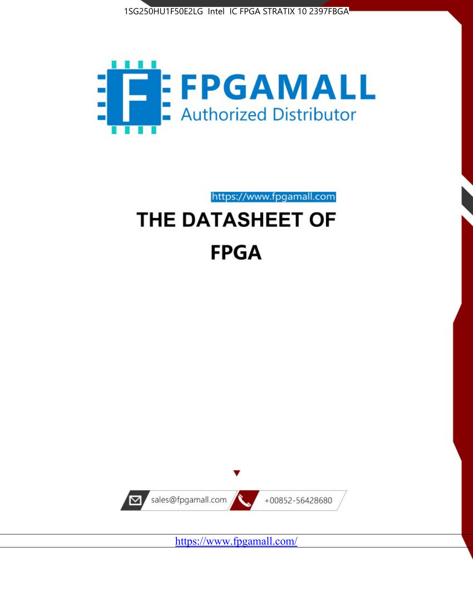



https://www.fpgamall.com

# THE DATASHEET OF **FPGA**



<https://www.fpgamall.com/>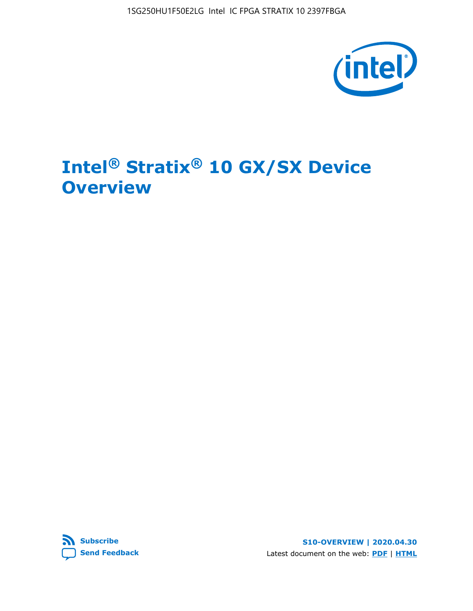1SG250HU1F50E2LG Intel IC FPGA STRATIX 10 2397FBGA



# **Intel® Stratix® 10 GX/SX Device Overview**



**S10-OVERVIEW | 2020.04.30** Latest document on the web: **[PDF](https://www.intel.com/content/dam/www/programmable/us/en/pdfs/literature/hb/stratix-10/s10-overview.pdf)** | **[HTML](https://www.intel.com/content/www/us/en/programmable/documentation/joc1442261161666.html)**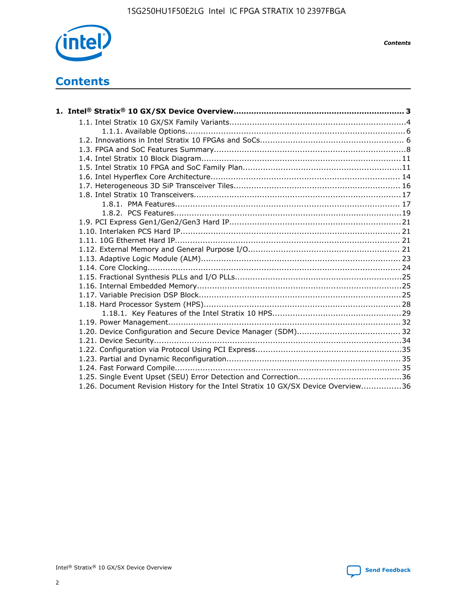

*Contents*

# **Contents**

| 1.26. Document Revision History for the Intel Stratix 10 GX/SX Device Overview36 |  |
|----------------------------------------------------------------------------------|--|

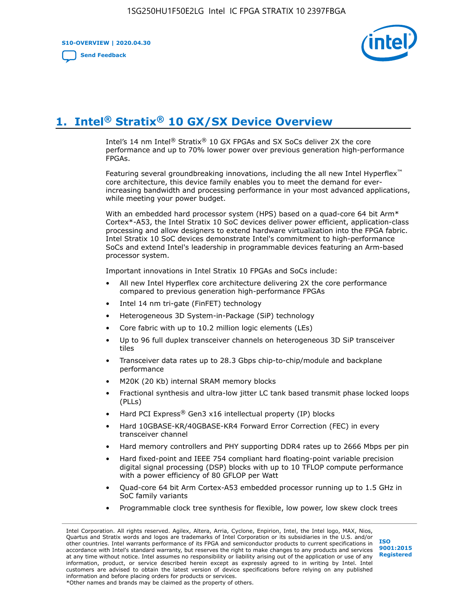**S10-OVERVIEW | 2020.04.30**

**[Send Feedback](mailto:FPGAtechdocfeedback@intel.com?subject=Feedback%20on%20Intel%20Stratix%2010%20GX/SX%20Device%20Overview%20(S10-OVERVIEW%202020.04.30)&body=We%20appreciate%20your%20feedback.%20In%20your%20comments,%20also%20specify%20the%20page%20number%20or%20paragraph.%20Thank%20you.)**



# **1. Intel® Stratix® 10 GX/SX Device Overview**

Intel's 14 nm Intel® Stratix® 10 GX FPGAs and SX SoCs deliver 2X the core performance and up to 70% lower power over previous generation high-performance FPGAs.

Featuring several groundbreaking innovations, including the all new Intel Hyperflex™ core architecture, this device family enables you to meet the demand for everincreasing bandwidth and processing performance in your most advanced applications, while meeting your power budget.

With an embedded hard processor system (HPS) based on a quad-core 64 bit Arm\* Cortex\*-A53, the Intel Stratix 10 SoC devices deliver power efficient, application-class processing and allow designers to extend hardware virtualization into the FPGA fabric. Intel Stratix 10 SoC devices demonstrate Intel's commitment to high-performance SoCs and extend Intel's leadership in programmable devices featuring an Arm-based processor system.

Important innovations in Intel Stratix 10 FPGAs and SoCs include:

- All new Intel Hyperflex core architecture delivering 2X the core performance compared to previous generation high-performance FPGAs
- Intel 14 nm tri-gate (FinFET) technology
- Heterogeneous 3D System-in-Package (SiP) technology
- Core fabric with up to 10.2 million logic elements (LEs)
- Up to 96 full duplex transceiver channels on heterogeneous 3D SiP transceiver tiles
- Transceiver data rates up to 28.3 Gbps chip-to-chip/module and backplane performance
- M20K (20 Kb) internal SRAM memory blocks
- Fractional synthesis and ultra-low jitter LC tank based transmit phase locked loops (PLLs)
- Hard PCI Express<sup>®</sup> Gen3 x16 intellectual property (IP) blocks
- Hard 10GBASE-KR/40GBASE-KR4 Forward Error Correction (FEC) in every transceiver channel
- Hard memory controllers and PHY supporting DDR4 rates up to 2666 Mbps per pin
- Hard fixed-point and IEEE 754 compliant hard floating-point variable precision digital signal processing (DSP) blocks with up to 10 TFLOP compute performance with a power efficiency of 80 GFLOP per Watt
- Quad-core 64 bit Arm Cortex-A53 embedded processor running up to 1.5 GHz in SoC family variants
- Programmable clock tree synthesis for flexible, low power, low skew clock trees

Intel Corporation. All rights reserved. Agilex, Altera, Arria, Cyclone, Enpirion, Intel, the Intel logo, MAX, Nios, Quartus and Stratix words and logos are trademarks of Intel Corporation or its subsidiaries in the U.S. and/or other countries. Intel warrants performance of its FPGA and semiconductor products to current specifications in accordance with Intel's standard warranty, but reserves the right to make changes to any products and services at any time without notice. Intel assumes no responsibility or liability arising out of the application or use of any information, product, or service described herein except as expressly agreed to in writing by Intel. Intel customers are advised to obtain the latest version of device specifications before relying on any published information and before placing orders for products or services. \*Other names and brands may be claimed as the property of others.

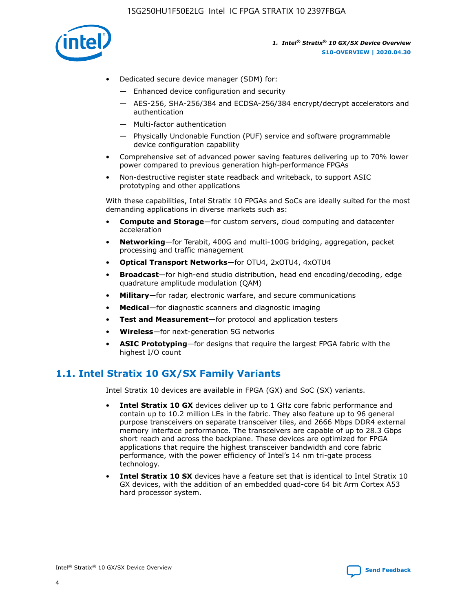

- Dedicated secure device manager (SDM) for:
	- Enhanced device configuration and security
	- AES-256, SHA-256/384 and ECDSA-256/384 encrypt/decrypt accelerators and authentication
	- Multi-factor authentication
	- Physically Unclonable Function (PUF) service and software programmable device configuration capability
- Comprehensive set of advanced power saving features delivering up to 70% lower power compared to previous generation high-performance FPGAs
- Non-destructive register state readback and writeback, to support ASIC prototyping and other applications

With these capabilities, Intel Stratix 10 FPGAs and SoCs are ideally suited for the most demanding applications in diverse markets such as:

- **Compute and Storage**—for custom servers, cloud computing and datacenter acceleration
- **Networking**—for Terabit, 400G and multi-100G bridging, aggregation, packet processing and traffic management
- **Optical Transport Networks**—for OTU4, 2xOTU4, 4xOTU4
- **Broadcast**—for high-end studio distribution, head end encoding/decoding, edge quadrature amplitude modulation (QAM)
- **Military**—for radar, electronic warfare, and secure communications
- **Medical**—for diagnostic scanners and diagnostic imaging
- **Test and Measurement**—for protocol and application testers
- **Wireless**—for next-generation 5G networks
- **ASIC Prototyping**—for designs that require the largest FPGA fabric with the highest I/O count

# **1.1. Intel Stratix 10 GX/SX Family Variants**

Intel Stratix 10 devices are available in FPGA (GX) and SoC (SX) variants.

- **Intel Stratix 10 GX** devices deliver up to 1 GHz core fabric performance and contain up to 10.2 million LEs in the fabric. They also feature up to 96 general purpose transceivers on separate transceiver tiles, and 2666 Mbps DDR4 external memory interface performance. The transceivers are capable of up to 28.3 Gbps short reach and across the backplane. These devices are optimized for FPGA applications that require the highest transceiver bandwidth and core fabric performance, with the power efficiency of Intel's 14 nm tri-gate process technology.
- **Intel Stratix 10 SX** devices have a feature set that is identical to Intel Stratix 10 GX devices, with the addition of an embedded quad-core 64 bit Arm Cortex A53 hard processor system.

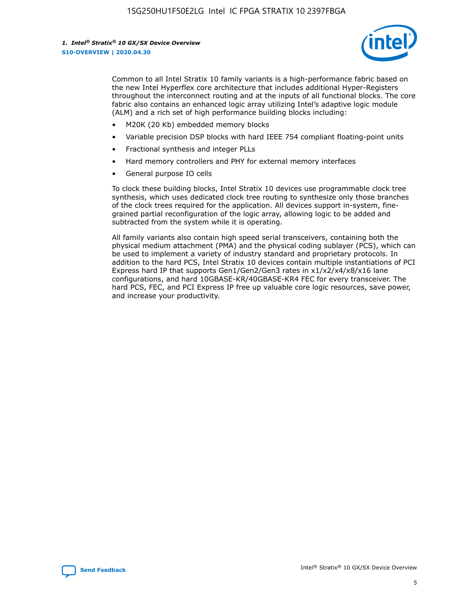

Common to all Intel Stratix 10 family variants is a high-performance fabric based on the new Intel Hyperflex core architecture that includes additional Hyper-Registers throughout the interconnect routing and at the inputs of all functional blocks. The core fabric also contains an enhanced logic array utilizing Intel's adaptive logic module (ALM) and a rich set of high performance building blocks including:

- M20K (20 Kb) embedded memory blocks
- Variable precision DSP blocks with hard IEEE 754 compliant floating-point units
- Fractional synthesis and integer PLLs
- Hard memory controllers and PHY for external memory interfaces
- General purpose IO cells

To clock these building blocks, Intel Stratix 10 devices use programmable clock tree synthesis, which uses dedicated clock tree routing to synthesize only those branches of the clock trees required for the application. All devices support in-system, finegrained partial reconfiguration of the logic array, allowing logic to be added and subtracted from the system while it is operating.

All family variants also contain high speed serial transceivers, containing both the physical medium attachment (PMA) and the physical coding sublayer (PCS), which can be used to implement a variety of industry standard and proprietary protocols. In addition to the hard PCS, Intel Stratix 10 devices contain multiple instantiations of PCI Express hard IP that supports Gen1/Gen2/Gen3 rates in x1/x2/x4/x8/x16 lane configurations, and hard 10GBASE-KR/40GBASE-KR4 FEC for every transceiver. The hard PCS, FEC, and PCI Express IP free up valuable core logic resources, save power, and increase your productivity.

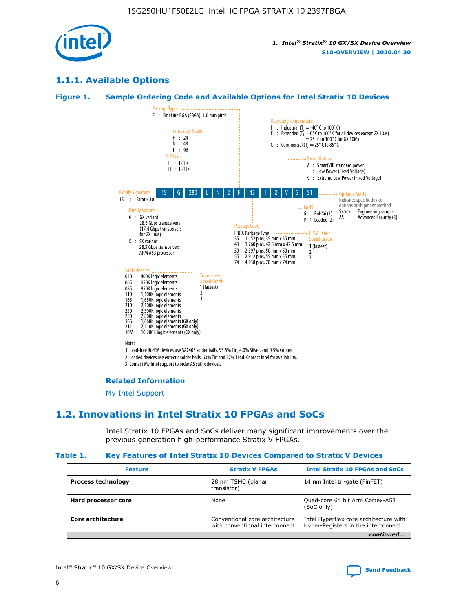

# **1.1.1. Available Options**

#### **Figure 1. Sample Ordering Code and Available Options for Intel Stratix 10 Devices**



# **Related Information**

[My Intel Support](https://www.intel.com/content/www/us/en/programmable/my-intel/mal-home.html)

# **1.2. Innovations in Intel Stratix 10 FPGAs and SoCs**

Intel Stratix 10 FPGAs and SoCs deliver many significant improvements over the previous generation high-performance Stratix V FPGAs.

#### **Table 1. Key Features of Intel Stratix 10 Devices Compared to Stratix V Devices**

| <b>Feature</b>            | <b>Stratix V FPGAs</b>                                           | <b>Intel Stratix 10 FPGAs and SoCs</b>                                        |  |  |  |
|---------------------------|------------------------------------------------------------------|-------------------------------------------------------------------------------|--|--|--|
| <b>Process technology</b> | 28 nm TSMC (planar<br>transistor)                                | 14 nm Intel tri-gate (FinFET)                                                 |  |  |  |
| Hard processor core       | None                                                             | Quad-core 64 bit Arm Cortex-A53<br>(SoC only)                                 |  |  |  |
| Core architecture         | Conventional core architecture<br>with conventional interconnect | Intel Hyperflex core architecture with<br>Hyper-Registers in the interconnect |  |  |  |
| continued                 |                                                                  |                                                                               |  |  |  |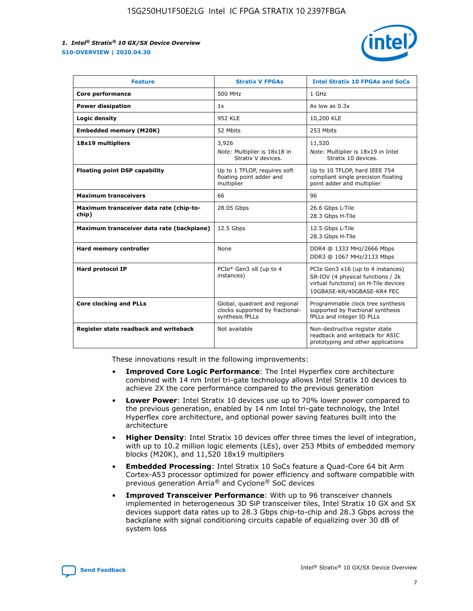

| <b>Feature</b>                                   | <b>Stratix V FPGAs</b>                                                              | <b>Intel Stratix 10 FPGAs and SoCs</b>                                                                                                       |
|--------------------------------------------------|-------------------------------------------------------------------------------------|----------------------------------------------------------------------------------------------------------------------------------------------|
| Core performance                                 | 500 MHz                                                                             | 1 GHz                                                                                                                                        |
| <b>Power dissipation</b>                         | 1x                                                                                  | As low as $0.3x$                                                                                                                             |
| Logic density                                    | <b>952 KLE</b>                                                                      | 10,200 KLE                                                                                                                                   |
| <b>Embedded memory (M20K)</b>                    | 52 Mbits                                                                            | 253 Mbits                                                                                                                                    |
| 18x19 multipliers                                | 3,926                                                                               | 11,520                                                                                                                                       |
|                                                  | Note: Multiplier is 18x18 in<br>Stratix V devices.                                  | Note: Multiplier is 18x19 in Intel<br>Stratix 10 devices.                                                                                    |
| <b>Floating point DSP capability</b>             | Up to 1 TFLOP, requires soft<br>floating point adder and<br>multiplier              | Up to 10 TFLOP, hard IEEE 754<br>compliant single precision floating<br>point adder and multiplier                                           |
| <b>Maximum transceivers</b>                      | 66                                                                                  | 96                                                                                                                                           |
| Maximum transceiver data rate (chip-to-<br>chip) | 28.05 Gbps                                                                          | 26.6 Gbps L-Tile<br>28.3 Gbps H-Tile                                                                                                         |
| Maximum transceiver data rate (backplane)        | 12.5 Gbps                                                                           | 12.5 Gbps L-Tile<br>28.3 Gbps H-Tile                                                                                                         |
| Hard memory controller                           | None                                                                                | DDR4 @ 1333 MHz/2666 Mbps<br>DDR3 @ 1067 MHz/2133 Mbps                                                                                       |
| Hard protocol IP                                 | PCIe* Gen3 x8 (up to 4<br>instances)                                                | PCIe Gen3 x16 (up to 4 instances)<br>SR-IOV (4 physical functions / 2k<br>virtual functions) on H-Tile devices<br>10GBASE-KR/40GBASE-KR4 FEC |
| <b>Core clocking and PLLs</b>                    | Global, quadrant and regional<br>clocks supported by fractional-<br>synthesis fPLLs | Programmable clock tree synthesis<br>supported by fractional synthesis<br>fPLLs and integer IO PLLs                                          |
| Register state readback and writeback            | Not available                                                                       | Non-destructive register state<br>readback and writeback for ASIC<br>prototyping and other applications                                      |

These innovations result in the following improvements:

- **Improved Core Logic Performance**: The Intel Hyperflex core architecture combined with 14 nm Intel tri-gate technology allows Intel Stratix 10 devices to achieve 2X the core performance compared to the previous generation
- **Lower Power**: Intel Stratix 10 devices use up to 70% lower power compared to the previous generation, enabled by 14 nm Intel tri-gate technology, the Intel Hyperflex core architecture, and optional power saving features built into the architecture
- **Higher Density**: Intel Stratix 10 devices offer three times the level of integration, with up to 10.2 million logic elements (LEs), over 253 Mbits of embedded memory blocks (M20K), and 11,520 18x19 multipliers
- **Embedded Processing**: Intel Stratix 10 SoCs feature a Quad-Core 64 bit Arm Cortex-A53 processor optimized for power efficiency and software compatible with previous generation Arria® and Cyclone® SoC devices
- **Improved Transceiver Performance**: With up to 96 transceiver channels implemented in heterogeneous 3D SiP transceiver tiles, Intel Stratix 10 GX and SX devices support data rates up to 28.3 Gbps chip-to-chip and 28.3 Gbps across the backplane with signal conditioning circuits capable of equalizing over 30 dB of system loss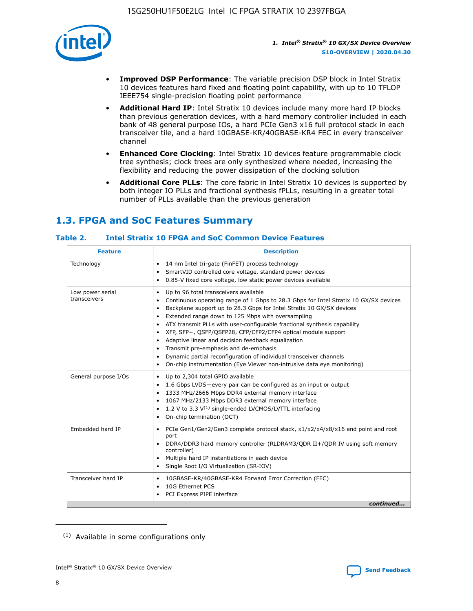

- **Improved DSP Performance**: The variable precision DSP block in Intel Stratix 10 devices features hard fixed and floating point capability, with up to 10 TFLOP IEEE754 single-precision floating point performance
- **Additional Hard IP**: Intel Stratix 10 devices include many more hard IP blocks than previous generation devices, with a hard memory controller included in each bank of 48 general purpose IOs, a hard PCIe Gen3 x16 full protocol stack in each transceiver tile, and a hard 10GBASE-KR/40GBASE-KR4 FEC in every transceiver channel
- **Enhanced Core Clocking**: Intel Stratix 10 devices feature programmable clock tree synthesis; clock trees are only synthesized where needed, increasing the flexibility and reducing the power dissipation of the clocking solution
- **Additional Core PLLs**: The core fabric in Intel Stratix 10 devices is supported by both integer IO PLLs and fractional synthesis fPLLs, resulting in a greater total number of PLLs available than the previous generation

# **1.3. FPGA and SoC Features Summary**

#### **Table 2. Intel Stratix 10 FPGA and SoC Common Device Features**

| <b>Feature</b>                   | <b>Description</b>                                                                                                                                                                                                                                                                                                                                                                                                                                                                                                                                                                                                                                                             |
|----------------------------------|--------------------------------------------------------------------------------------------------------------------------------------------------------------------------------------------------------------------------------------------------------------------------------------------------------------------------------------------------------------------------------------------------------------------------------------------------------------------------------------------------------------------------------------------------------------------------------------------------------------------------------------------------------------------------------|
| Technology                       | 14 nm Intel tri-gate (FinFET) process technology<br>٠<br>SmartVID controlled core voltage, standard power devices<br>0.85-V fixed core voltage, low static power devices available                                                                                                                                                                                                                                                                                                                                                                                                                                                                                             |
| Low power serial<br>transceivers | Up to 96 total transceivers available<br>٠<br>Continuous operating range of 1 Gbps to 28.3 Gbps for Intel Stratix 10 GX/SX devices<br>Backplane support up to 28.3 Gbps for Intel Stratix 10 GX/SX devices<br>$\bullet$<br>Extended range down to 125 Mbps with oversampling<br>ATX transmit PLLs with user-configurable fractional synthesis capability<br>٠<br>XFP, SFP+, OSFP/OSFP28, CFP/CFP2/CFP4 optical module support<br>• Adaptive linear and decision feedback equalization<br>Transmit pre-emphasis and de-emphasis<br>Dynamic partial reconfiguration of individual transceiver channels<br>On-chip instrumentation (Eye Viewer non-intrusive data eye monitoring) |
| General purpose I/Os             | Up to 2,304 total GPIO available<br>$\bullet$<br>1.6 Gbps LVDS-every pair can be configured as an input or output<br>1333 MHz/2666 Mbps DDR4 external memory interface<br>1067 MHz/2133 Mbps DDR3 external memory interface<br>• 1.2 V to 3.3 $V^{(1)}$ single-ended LVCMOS/LVTTL interfacing<br>On-chip termination (OCT)                                                                                                                                                                                                                                                                                                                                                     |
| Embedded hard IP                 | • PCIe Gen1/Gen2/Gen3 complete protocol stack, x1/x2/x4/x8/x16 end point and root<br>port<br>DDR4/DDR3 hard memory controller (RLDRAM3/QDR II+/QDR IV using soft memory<br>controller)<br>Multiple hard IP instantiations in each device<br>$\bullet$<br>• Single Root I/O Virtualization (SR-IOV)                                                                                                                                                                                                                                                                                                                                                                             |
| Transceiver hard IP              | 10GBASE-KR/40GBASE-KR4 Forward Error Correction (FEC)<br>$\bullet$<br>10G Ethernet PCS<br>٠<br>PCI Express PIPE interface<br>continued                                                                                                                                                                                                                                                                                                                                                                                                                                                                                                                                         |
|                                  |                                                                                                                                                                                                                                                                                                                                                                                                                                                                                                                                                                                                                                                                                |

<sup>(1)</sup> Available in some configurations only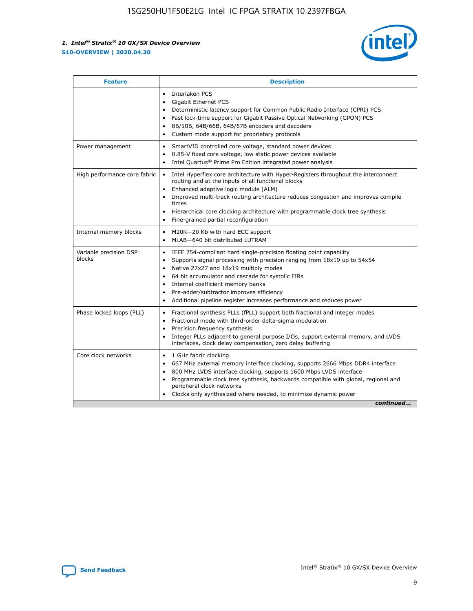

| <b>Feature</b>                   | <b>Description</b>                                                                                                                                                                                                                                                                                                                                                                                                                                                    |  |  |  |
|----------------------------------|-----------------------------------------------------------------------------------------------------------------------------------------------------------------------------------------------------------------------------------------------------------------------------------------------------------------------------------------------------------------------------------------------------------------------------------------------------------------------|--|--|--|
|                                  | Interlaken PCS<br>$\bullet$<br>Gigabit Ethernet PCS<br>$\bullet$<br>Deterministic latency support for Common Public Radio Interface (CPRI) PCS<br>$\bullet$<br>Fast lock-time support for Gigabit Passive Optical Networking (GPON) PCS<br>$\bullet$<br>8B/10B, 64B/66B, 64B/67B encoders and decoders<br>$\bullet$<br>Custom mode support for proprietary protocols<br>$\bullet$                                                                                     |  |  |  |
| Power management                 | SmartVID controlled core voltage, standard power devices<br>$\bullet$<br>0.85-V fixed core voltage, low static power devices available<br>$\bullet$<br>Intel Quartus <sup>®</sup> Prime Pro Edition integrated power analysis<br>$\bullet$                                                                                                                                                                                                                            |  |  |  |
| High performance core fabric     | Intel Hyperflex core architecture with Hyper-Registers throughout the interconnect<br>$\bullet$<br>routing and at the inputs of all functional blocks<br>Enhanced adaptive logic module (ALM)<br>$\bullet$<br>Improved multi-track routing architecture reduces congestion and improves compile<br>times<br>Hierarchical core clocking architecture with programmable clock tree synthesis<br>Fine-grained partial reconfiguration                                    |  |  |  |
| Internal memory blocks           | M20K-20 Kb with hard ECC support<br>٠<br>MLAB-640 bit distributed LUTRAM<br>$\bullet$                                                                                                                                                                                                                                                                                                                                                                                 |  |  |  |
| Variable precision DSP<br>blocks | IEEE 754-compliant hard single-precision floating point capability<br>$\bullet$<br>Supports signal processing with precision ranging from 18x19 up to 54x54<br>$\bullet$<br>Native 27x27 and 18x19 multiply modes<br>$\bullet$<br>64 bit accumulator and cascade for systolic FIRs<br>Internal coefficient memory banks<br>Pre-adder/subtractor improves efficiency<br>$\bullet$<br>Additional pipeline register increases performance and reduces power<br>$\bullet$ |  |  |  |
| Phase locked loops (PLL)         | Fractional synthesis PLLs (fPLL) support both fractional and integer modes<br>$\bullet$<br>Fractional mode with third-order delta-sigma modulation<br>Precision frequency synthesis<br>$\bullet$<br>Integer PLLs adjacent to general purpose I/Os, support external memory, and LVDS<br>$\bullet$<br>interfaces, clock delay compensation, zero delay buffering                                                                                                       |  |  |  |
| Core clock networks              | 1 GHz fabric clocking<br>$\bullet$<br>667 MHz external memory interface clocking, supports 2666 Mbps DDR4 interface<br>$\bullet$<br>800 MHz LVDS interface clocking, supports 1600 Mbps LVDS interface<br>$\bullet$<br>Programmable clock tree synthesis, backwards compatible with global, regional and<br>$\bullet$<br>peripheral clock networks<br>Clocks only synthesized where needed, to minimize dynamic power<br>continued                                    |  |  |  |

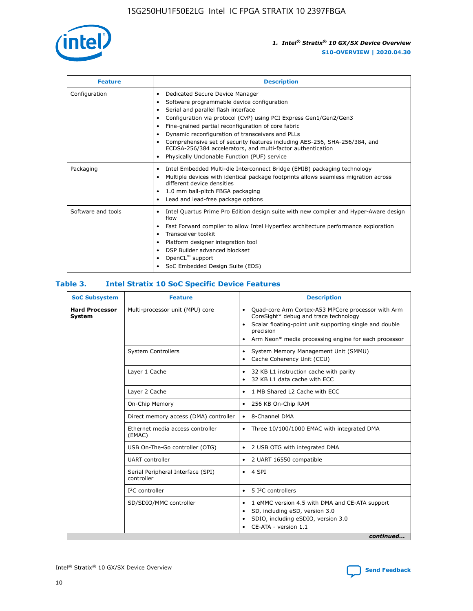

| <b>Feature</b>     | <b>Description</b>                                                                                                                                                                                                                                                                                                                                                                                                                                                                                                    |
|--------------------|-----------------------------------------------------------------------------------------------------------------------------------------------------------------------------------------------------------------------------------------------------------------------------------------------------------------------------------------------------------------------------------------------------------------------------------------------------------------------------------------------------------------------|
| Configuration      | Dedicated Secure Device Manager<br>٠<br>Software programmable device configuration<br>٠<br>Serial and parallel flash interface<br>٠<br>Configuration via protocol (CvP) using PCI Express Gen1/Gen2/Gen3<br>Fine-grained partial reconfiguration of core fabric<br>Dynamic reconfiguration of transceivers and PLLs<br>٠<br>Comprehensive set of security features including AES-256, SHA-256/384, and<br>ECDSA-256/384 accelerators, and multi-factor authentication<br>Physically Unclonable Function (PUF) service |
| Packaging          | Intel Embedded Multi-die Interconnect Bridge (EMIB) packaging technology<br>٠<br>Multiple devices with identical package footprints allows seamless migration across<br>٠<br>different device densities<br>1.0 mm ball-pitch FBGA packaging<br>٠<br>Lead and lead-free package options                                                                                                                                                                                                                                |
| Software and tools | Intel Quartus Prime Pro Edition design suite with new compiler and Hyper-Aware design<br>flow<br>Fast Forward compiler to allow Intel Hyperflex architecture performance exploration<br>٠<br>Transceiver toolkit<br>Platform designer integration tool<br>DSP Builder advanced blockset<br>OpenCL <sup>™</sup> support<br>SoC Embedded Design Suite (EDS)                                                                                                                                                             |

#### **Table 3. Intel Stratix 10 SoC Specific Device Features**

| <b>Hard Processor</b><br>Multi-processor unit (MPU) core<br>Quad-core Arm Cortex-A53 MPCore processor with Arm<br>$\bullet$<br>CoreSight* debug and trace technology<br><b>System</b><br>Scalar floating-point unit supporting single and double<br>$\bullet$<br>precision<br>Arm Neon* media processing engine for each processor<br>$\bullet$<br><b>System Controllers</b><br>System Memory Management Unit (SMMU)<br>$\bullet$<br>Cache Coherency Unit (CCU)<br>$\bullet$<br>Layer 1 Cache<br>32 KB L1 instruction cache with parity<br>$\bullet$<br>32 KB L1 data cache with ECC<br>$\bullet$<br>Layer 2 Cache<br>1 MB Shared L2 Cache with ECC<br>$\bullet$<br>On-Chip Memory<br>256 KB On-Chip RAM<br>٠<br>Direct memory access (DMA) controller<br>8-Channel DMA<br>$\bullet$<br>Ethernet media access controller<br>Three 10/100/1000 EMAC with integrated DMA<br>$\bullet$<br>(EMAC)<br>USB On-The-Go controller (OTG)<br>2 USB OTG with integrated DMA<br>$\bullet$<br><b>UART</b> controller<br>2 UART 16550 compatible<br>$\bullet$<br>Serial Peripheral Interface (SPI)<br>4 SPI<br>$\bullet$<br>controller<br>$I2C$ controller<br>5 I <sup>2</sup> C controllers<br>$\bullet$<br>SD/SDIO/MMC controller<br>1 eMMC version 4.5 with DMA and CE-ATA support<br>$\bullet$<br>SD, including eSD, version 3.0<br>$\bullet$<br>SDIO, including eSDIO, version 3.0<br>$\bullet$<br>CE-ATA - version 1.1 | <b>SoC Subsystem</b> | <b>Feature</b> | <b>Description</b> |  |  |
|----------------------------------------------------------------------------------------------------------------------------------------------------------------------------------------------------------------------------------------------------------------------------------------------------------------------------------------------------------------------------------------------------------------------------------------------------------------------------------------------------------------------------------------------------------------------------------------------------------------------------------------------------------------------------------------------------------------------------------------------------------------------------------------------------------------------------------------------------------------------------------------------------------------------------------------------------------------------------------------------------------------------------------------------------------------------------------------------------------------------------------------------------------------------------------------------------------------------------------------------------------------------------------------------------------------------------------------------------------------------------------------------------------------|----------------------|----------------|--------------------|--|--|
|                                                                                                                                                                                                                                                                                                                                                                                                                                                                                                                                                                                                                                                                                                                                                                                                                                                                                                                                                                                                                                                                                                                                                                                                                                                                                                                                                                                                                |                      |                |                    |  |  |
|                                                                                                                                                                                                                                                                                                                                                                                                                                                                                                                                                                                                                                                                                                                                                                                                                                                                                                                                                                                                                                                                                                                                                                                                                                                                                                                                                                                                                |                      |                |                    |  |  |
|                                                                                                                                                                                                                                                                                                                                                                                                                                                                                                                                                                                                                                                                                                                                                                                                                                                                                                                                                                                                                                                                                                                                                                                                                                                                                                                                                                                                                |                      |                |                    |  |  |
|                                                                                                                                                                                                                                                                                                                                                                                                                                                                                                                                                                                                                                                                                                                                                                                                                                                                                                                                                                                                                                                                                                                                                                                                                                                                                                                                                                                                                |                      |                |                    |  |  |
|                                                                                                                                                                                                                                                                                                                                                                                                                                                                                                                                                                                                                                                                                                                                                                                                                                                                                                                                                                                                                                                                                                                                                                                                                                                                                                                                                                                                                |                      |                |                    |  |  |
|                                                                                                                                                                                                                                                                                                                                                                                                                                                                                                                                                                                                                                                                                                                                                                                                                                                                                                                                                                                                                                                                                                                                                                                                                                                                                                                                                                                                                |                      |                |                    |  |  |
|                                                                                                                                                                                                                                                                                                                                                                                                                                                                                                                                                                                                                                                                                                                                                                                                                                                                                                                                                                                                                                                                                                                                                                                                                                                                                                                                                                                                                |                      |                |                    |  |  |
|                                                                                                                                                                                                                                                                                                                                                                                                                                                                                                                                                                                                                                                                                                                                                                                                                                                                                                                                                                                                                                                                                                                                                                                                                                                                                                                                                                                                                |                      |                |                    |  |  |
|                                                                                                                                                                                                                                                                                                                                                                                                                                                                                                                                                                                                                                                                                                                                                                                                                                                                                                                                                                                                                                                                                                                                                                                                                                                                                                                                                                                                                |                      |                |                    |  |  |
|                                                                                                                                                                                                                                                                                                                                                                                                                                                                                                                                                                                                                                                                                                                                                                                                                                                                                                                                                                                                                                                                                                                                                                                                                                                                                                                                                                                                                |                      |                |                    |  |  |
|                                                                                                                                                                                                                                                                                                                                                                                                                                                                                                                                                                                                                                                                                                                                                                                                                                                                                                                                                                                                                                                                                                                                                                                                                                                                                                                                                                                                                |                      |                |                    |  |  |
| continued                                                                                                                                                                                                                                                                                                                                                                                                                                                                                                                                                                                                                                                                                                                                                                                                                                                                                                                                                                                                                                                                                                                                                                                                                                                                                                                                                                                                      |                      |                |                    |  |  |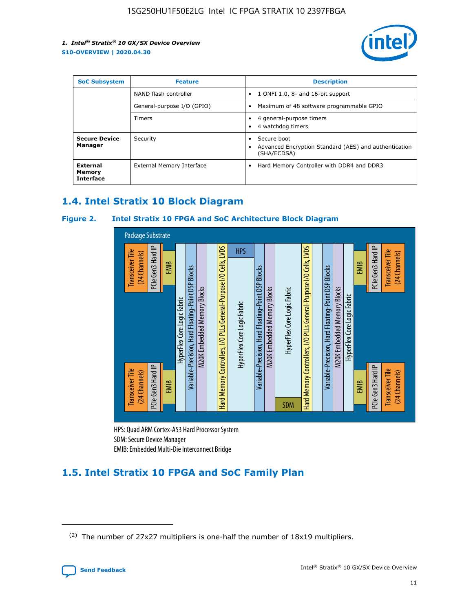

| <b>SoC Subsystem</b>                          | <b>Feature</b>             | <b>Description</b>                                                                                    |
|-----------------------------------------------|----------------------------|-------------------------------------------------------------------------------------------------------|
|                                               | NAND flash controller      | 1 ONFI 1.0, 8- and 16-bit support<br>$\bullet$                                                        |
|                                               | General-purpose I/O (GPIO) | Maximum of 48 software programmable GPIO<br>$\bullet$                                                 |
|                                               | <b>Timers</b>              | 4 general-purpose timers<br>٠<br>4 watchdog timers<br>٠                                               |
| <b>Secure Device</b><br>Manager               | Security                   | Secure boot<br>$\bullet$<br>Advanced Encryption Standard (AES) and authentication<br>٠<br>(SHA/ECDSA) |
| <b>External</b><br>Memory<br><b>Interface</b> | External Memory Interface  | Hard Memory Controller with DDR4 and DDR3<br>$\bullet$                                                |

# **1.4. Intel Stratix 10 Block Diagram**

#### **Figure 2. Intel Stratix 10 FPGA and SoC Architecture Block Diagram**



HPS: Quad ARM Cortex-A53 Hard Processor System SDM: Secure Device Manager

# **1.5. Intel Stratix 10 FPGA and SoC Family Plan**

<sup>(2)</sup> The number of 27x27 multipliers is one-half the number of 18x19 multipliers.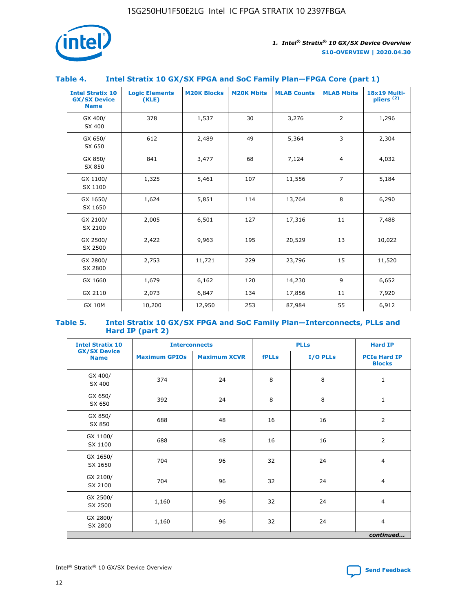

#### **Table 4. Intel Stratix 10 GX/SX FPGA and SoC Family Plan—FPGA Core (part 1)**

| <b>Intel Stratix 10</b><br><b>GX/SX Device</b><br><b>Name</b> | <b>Logic Elements</b><br>(KLE) | <b>M20K Blocks</b> | <b>M20K Mbits</b> | <b>MLAB Counts</b> | <b>MLAB Mbits</b> | 18x19 Multi-<br>pliers <sup>(2)</sup> |
|---------------------------------------------------------------|--------------------------------|--------------------|-------------------|--------------------|-------------------|---------------------------------------|
| GX 400/<br>SX 400                                             | 378                            | 1,537              | 30                | 3,276              | $\overline{2}$    | 1,296                                 |
| GX 650/<br>SX 650                                             | 612                            | 2,489              | 49                | 5,364              | 3                 | 2,304                                 |
| GX 850/<br>SX 850                                             | 841                            | 3,477              | 68                | 7,124              | $\overline{4}$    | 4,032                                 |
| GX 1100/<br>SX 1100                                           | 1,325                          | 5,461              | 107               | 11,556             | $\overline{7}$    | 5,184                                 |
| GX 1650/<br>SX 1650                                           | 1,624                          | 5,851              | 114               | 13,764             | 8                 | 6,290                                 |
| GX 2100/<br>SX 2100                                           | 2,005                          | 6,501              | 127               | 17,316             | 11                | 7,488                                 |
| GX 2500/<br>SX 2500                                           | 2,422                          | 9,963              | 195               | 20,529             | 13                | 10,022                                |
| GX 2800/<br>SX 2800                                           | 2,753                          | 11,721             | 229               | 23,796             | 15                | 11,520                                |
| GX 1660                                                       | 1,679                          | 6,162              | 120               | 14,230             | 9                 | 6,652                                 |
| GX 2110                                                       | 2,073                          | 6,847              | 134               | 17,856             | 11                | 7,920                                 |
| <b>GX 10M</b>                                                 | 10,200                         | 12,950             | 253               | 87,984             | 55                | 6,912                                 |

#### **Table 5. Intel Stratix 10 GX/SX FPGA and SoC Family Plan—Interconnects, PLLs and Hard IP (part 2)**

| <b>Intel Stratix 10</b>            | <b>Interconnects</b> |                     | <b>PLLs</b>  |          | <b>Hard IP</b>                       |  |
|------------------------------------|----------------------|---------------------|--------------|----------|--------------------------------------|--|
| <b>GX/SX Device</b><br><b>Name</b> | <b>Maximum GPIOs</b> | <b>Maximum XCVR</b> | <b>fPLLs</b> | I/O PLLs | <b>PCIe Hard IP</b><br><b>Blocks</b> |  |
| GX 400/<br>SX 400                  | 374                  | 24                  | 8            | 8        | $\mathbf{1}$                         |  |
| GX 650/<br>SX 650                  | 392                  | 24                  | 8            | 8        | $\mathbf{1}$                         |  |
| GX 850/<br>SX 850                  | 688                  | 48                  | 16           | 16       | 2                                    |  |
| GX 1100/<br>SX 1100                | 688                  | 48                  | 16           | 16       | 2                                    |  |
| GX 1650/<br>SX 1650                | 704                  | 96                  | 32           | 24       | $\overline{4}$                       |  |
| GX 2100/<br>SX 2100                | 704                  | 96                  | 32           | 24       | $\overline{4}$                       |  |
| GX 2500/<br>SX 2500                | 1,160                | 96                  | 32           | 24       | $\overline{4}$                       |  |
| GX 2800/<br>SX 2800                | 1,160                | 96                  | 32           | 24       | $\overline{4}$                       |  |
| continued                          |                      |                     |              |          |                                      |  |

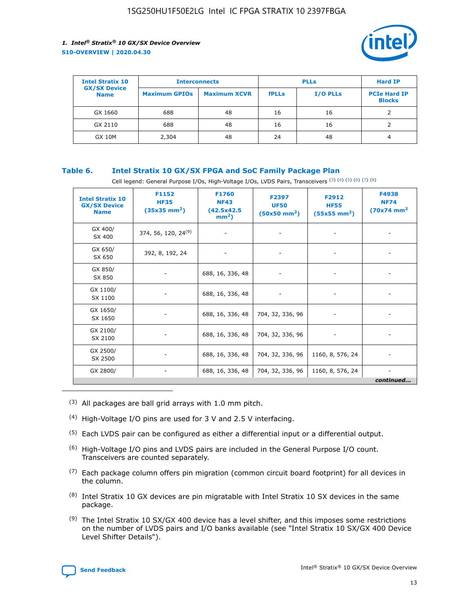

| <b>Intel Stratix 10</b>            |                      | <b>Interconnects</b> |              | <b>PLLs</b>     | <b>Hard IP</b>                       |
|------------------------------------|----------------------|----------------------|--------------|-----------------|--------------------------------------|
| <b>GX/SX Device</b><br><b>Name</b> | <b>Maximum GPIOs</b> | <b>Maximum XCVR</b>  | <b>fPLLs</b> | <b>I/O PLLs</b> | <b>PCIe Hard IP</b><br><b>Blocks</b> |
| GX 1660                            | 688                  | 48                   | 16           | 16              |                                      |
| GX 2110                            | 688                  | 48                   | 16           | 16              |                                      |
| <b>GX 10M</b>                      | 2,304                | 48                   | 24           | 48              | 4                                    |

#### **Table 6. Intel Stratix 10 GX/SX FPGA and SoC Family Package Plan**

Cell legend: General Purpose I/Os, High-Voltage I/Os, LVDS Pairs, Transceivers (3) (4) (5) (6) (7) (8)

| <b>Intel Stratix 10</b><br><b>GX/SX Device</b><br><b>Name</b> | F1152<br><b>HF35</b><br>$(35x35 \text{ mm}^2)$ | F1760<br><b>NF43</b><br>(42.5x42.5<br>$mm2$ ) | F2397<br><b>UF50</b><br>$(50x50 \text{ mm}^2)$ | F2912<br><b>HF55</b><br>$(55x55$ mm <sup>2</sup> ) | F4938<br><b>NF74</b><br>$(70x74)$ mm <sup>2</sup> |
|---------------------------------------------------------------|------------------------------------------------|-----------------------------------------------|------------------------------------------------|----------------------------------------------------|---------------------------------------------------|
| GX 400/<br>SX 400                                             | 374, 56, 120, 24 <sup>(9)</sup>                | $\overline{\phantom{a}}$                      | $\overline{\phantom{a}}$                       | ۰                                                  |                                                   |
| GX 650/<br>SX 650                                             | 392, 8, 192, 24                                | $\overline{\phantom{a}}$                      | $\overline{\phantom{a}}$                       |                                                    |                                                   |
| GX 850/<br>SX 850                                             | ۰.                                             | 688, 16, 336, 48                              |                                                |                                                    |                                                   |
| GX 1100/<br>SX 1100                                           |                                                | 688, 16, 336, 48                              |                                                |                                                    |                                                   |
| GX 1650/<br>SX 1650                                           |                                                | 688, 16, 336, 48                              | 704, 32, 336, 96                               |                                                    |                                                   |
| GX 2100/<br>SX 2100                                           | -                                              | 688, 16, 336, 48                              | 704, 32, 336, 96                               | $\overline{\phantom{a}}$                           |                                                   |
| GX 2500/<br>SX 2500                                           |                                                | 688, 16, 336, 48                              | 704, 32, 336, 96                               | 1160, 8, 576, 24                                   |                                                   |
| GX 2800/                                                      | -                                              | 688, 16, 336, 48                              | 704, 32, 336, 96                               | 1160, 8, 576, 24                                   | $\overline{\phantom{a}}$<br>continued             |

- (3) All packages are ball grid arrays with 1.0 mm pitch.
- (4) High-Voltage I/O pins are used for 3 V and 2.5 V interfacing.
- $(5)$  Each LVDS pair can be configured as either a differential input or a differential output.
- (6) High-Voltage I/O pins and LVDS pairs are included in the General Purpose I/O count. Transceivers are counted separately.
- $(7)$  Each package column offers pin migration (common circuit board footprint) for all devices in the column.
- $(8)$  Intel Stratix 10 GX devices are pin migratable with Intel Stratix 10 SX devices in the same package.
- $(9)$  The Intel Stratix 10 SX/GX 400 device has a level shifter, and this imposes some restrictions on the number of LVDS pairs and I/O banks available (see "Intel Stratix 10 SX/GX 400 Device Level Shifter Details").

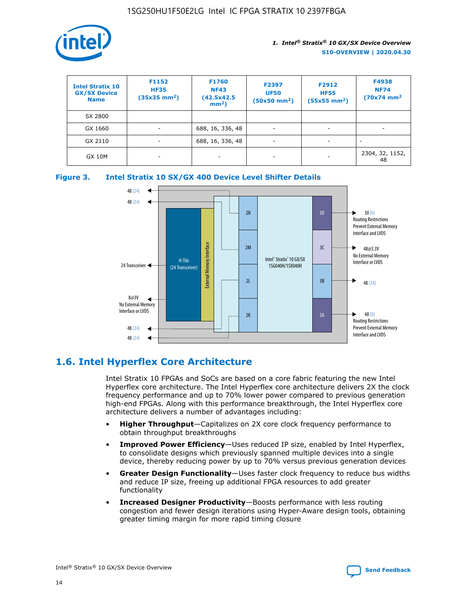

| <b>Intel Stratix 10</b><br><b>GX/SX Device</b><br><b>Name</b> | F1152<br><b>HF35</b><br>$(35x35)$ mm <sup>2</sup> ) | <b>F1760</b><br><b>NF43</b><br>(42.5x42.5<br>$mm2$ ) | F2397<br><b>UF50</b><br>$(50x50 \text{ mm}^2)$ | F2912<br><b>HF55</b><br>$(55x55$ mm <sup>2</sup> ) | F4938<br><b>NF74</b><br>$(70x74)$ mm <sup>2</sup> |
|---------------------------------------------------------------|-----------------------------------------------------|------------------------------------------------------|------------------------------------------------|----------------------------------------------------|---------------------------------------------------|
| SX 2800                                                       |                                                     |                                                      |                                                |                                                    |                                                   |
| GX 1660                                                       | ٠                                                   | 688, 16, 336, 48                                     | ٠                                              |                                                    |                                                   |
| GX 2110                                                       | -                                                   | 688, 16, 336, 48                                     | $\overline{\phantom{a}}$                       |                                                    |                                                   |
| <b>GX 10M</b>                                                 | ۰                                                   |                                                      |                                                |                                                    | 2304, 32, 1152,<br>48                             |





# **1.6. Intel Hyperflex Core Architecture**

Intel Stratix 10 FPGAs and SoCs are based on a core fabric featuring the new Intel Hyperflex core architecture. The Intel Hyperflex core architecture delivers 2X the clock frequency performance and up to 70% lower power compared to previous generation high-end FPGAs. Along with this performance breakthrough, the Intel Hyperflex core architecture delivers a number of advantages including:

- **Higher Throughput**—Capitalizes on 2X core clock frequency performance to obtain throughput breakthroughs
- **Improved Power Efficiency**—Uses reduced IP size, enabled by Intel Hyperflex, to consolidate designs which previously spanned multiple devices into a single device, thereby reducing power by up to 70% versus previous generation devices
- **Greater Design Functionality**—Uses faster clock frequency to reduce bus widths and reduce IP size, freeing up additional FPGA resources to add greater functionality
- **Increased Designer Productivity**—Boosts performance with less routing congestion and fewer design iterations using Hyper-Aware design tools, obtaining greater timing margin for more rapid timing closure

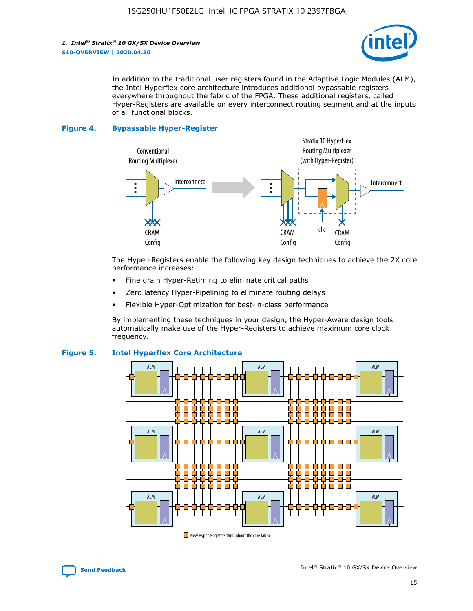

In addition to the traditional user registers found in the Adaptive Logic Modules (ALM), the Intel Hyperflex core architecture introduces additional bypassable registers everywhere throughout the fabric of the FPGA. These additional registers, called Hyper-Registers are available on every interconnect routing segment and at the inputs of all functional blocks.

#### **Figure 4. Bypassable Hyper-Register**



The Hyper-Registers enable the following key design techniques to achieve the 2X core performance increases:

- Fine grain Hyper-Retiming to eliminate critical paths
- Zero latency Hyper-Pipelining to eliminate routing delays
- Flexible Hyper-Optimization for best-in-class performance

By implementing these techniques in your design, the Hyper-Aware design tools automatically make use of the Hyper-Registers to achieve maximum core clock frequency.



#### **Figure 5. Intel Hyperflex Core Architecture**

New Hyper-Registers throughout the core fabric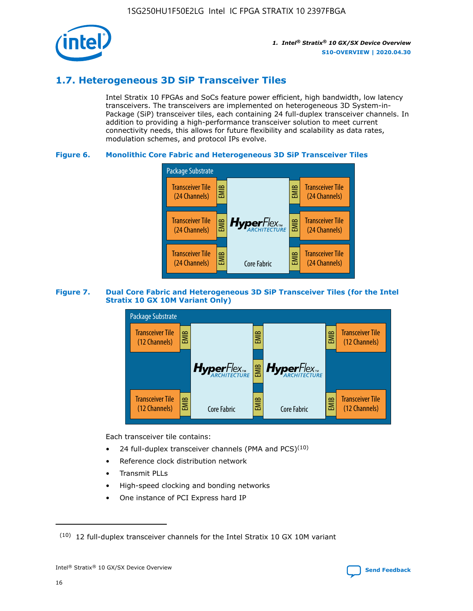

# **1.7. Heterogeneous 3D SiP Transceiver Tiles**

Intel Stratix 10 FPGAs and SoCs feature power efficient, high bandwidth, low latency transceivers. The transceivers are implemented on heterogeneous 3D System-in-Package (SiP) transceiver tiles, each containing 24 full-duplex transceiver channels. In addition to providing a high-performance transceiver solution to meet current connectivity needs, this allows for future flexibility and scalability as data rates, modulation schemes, and protocol IPs evolve.

#### **Figure 6. Monolithic Core Fabric and Heterogeneous 3D SiP Transceiver Tiles**



#### **Figure 7. Dual Core Fabric and Heterogeneous 3D SiP Transceiver Tiles (for the Intel Stratix 10 GX 10M Variant Only)**



Each transceiver tile contains:

- 24 full-duplex transceiver channels (PMA and PCS) $(10)$
- Reference clock distribution network
- Transmit PLLs
- High-speed clocking and bonding networks
- One instance of PCI Express hard IP

16

 $(10)$  12 full-duplex transceiver channels for the Intel Stratix 10 GX 10M variant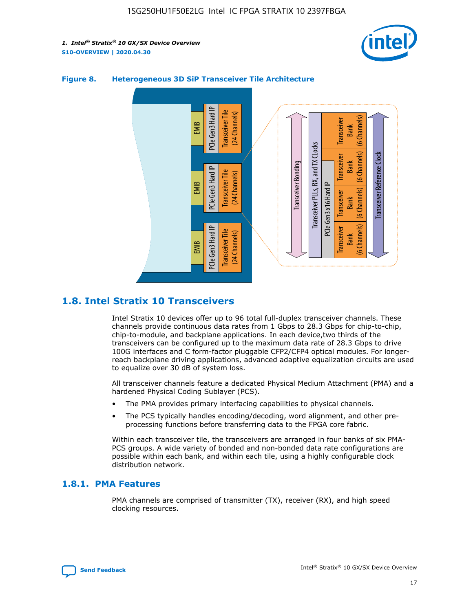



#### **Figure 8. Heterogeneous 3D SiP Transceiver Tile Architecture**

# **1.8. Intel Stratix 10 Transceivers**

Intel Stratix 10 devices offer up to 96 total full-duplex transceiver channels. These channels provide continuous data rates from 1 Gbps to 28.3 Gbps for chip-to-chip, chip-to-module, and backplane applications. In each device,two thirds of the transceivers can be configured up to the maximum data rate of 28.3 Gbps to drive 100G interfaces and C form-factor pluggable CFP2/CFP4 optical modules. For longerreach backplane driving applications, advanced adaptive equalization circuits are used to equalize over 30 dB of system loss.

All transceiver channels feature a dedicated Physical Medium Attachment (PMA) and a hardened Physical Coding Sublayer (PCS).

- The PMA provides primary interfacing capabilities to physical channels.
- The PCS typically handles encoding/decoding, word alignment, and other preprocessing functions before transferring data to the FPGA core fabric.

Within each transceiver tile, the transceivers are arranged in four banks of six PMA-PCS groups. A wide variety of bonded and non-bonded data rate configurations are possible within each bank, and within each tile, using a highly configurable clock distribution network.

#### **1.8.1. PMA Features**

PMA channels are comprised of transmitter (TX), receiver (RX), and high speed clocking resources.

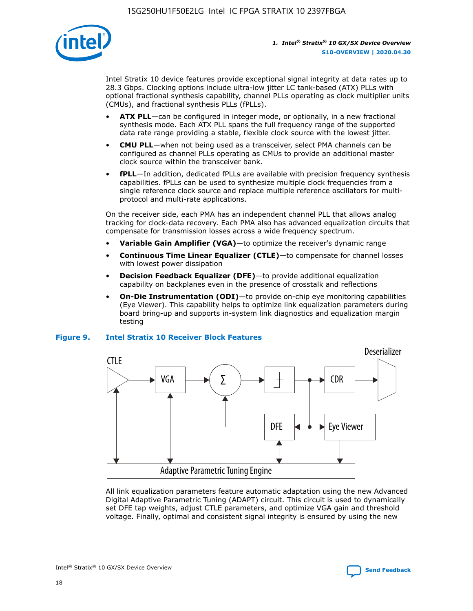

Intel Stratix 10 device features provide exceptional signal integrity at data rates up to 28.3 Gbps. Clocking options include ultra-low jitter LC tank-based (ATX) PLLs with optional fractional synthesis capability, channel PLLs operating as clock multiplier units (CMUs), and fractional synthesis PLLs (fPLLs).

- **ATX PLL**—can be configured in integer mode, or optionally, in a new fractional synthesis mode. Each ATX PLL spans the full frequency range of the supported data rate range providing a stable, flexible clock source with the lowest jitter.
- **CMU PLL**—when not being used as a transceiver, select PMA channels can be configured as channel PLLs operating as CMUs to provide an additional master clock source within the transceiver bank.
- **fPLL**—In addition, dedicated fPLLs are available with precision frequency synthesis capabilities. fPLLs can be used to synthesize multiple clock frequencies from a single reference clock source and replace multiple reference oscillators for multiprotocol and multi-rate applications.

On the receiver side, each PMA has an independent channel PLL that allows analog tracking for clock-data recovery. Each PMA also has advanced equalization circuits that compensate for transmission losses across a wide frequency spectrum.

- **Variable Gain Amplifier (VGA)**—to optimize the receiver's dynamic range
- **Continuous Time Linear Equalizer (CTLE)**—to compensate for channel losses with lowest power dissipation
- **Decision Feedback Equalizer (DFE)**—to provide additional equalization capability on backplanes even in the presence of crosstalk and reflections
- **On-Die Instrumentation (ODI)**—to provide on-chip eye monitoring capabilities (Eye Viewer). This capability helps to optimize link equalization parameters during board bring-up and supports in-system link diagnostics and equalization margin testing

#### **Figure 9. Intel Stratix 10 Receiver Block Features**



All link equalization parameters feature automatic adaptation using the new Advanced Digital Adaptive Parametric Tuning (ADAPT) circuit. This circuit is used to dynamically set DFE tap weights, adjust CTLE parameters, and optimize VGA gain and threshold voltage. Finally, optimal and consistent signal integrity is ensured by using the new



Intel<sup>®</sup> Stratix<sup>®</sup> 10 GX/SX Device Overview **[Send Feedback](mailto:FPGAtechdocfeedback@intel.com?subject=Feedback%20on%20Intel%20Stratix%2010%20GX/SX%20Device%20Overview%20(S10-OVERVIEW%202020.04.30)&body=We%20appreciate%20your%20feedback.%20In%20your%20comments,%20also%20specify%20the%20page%20number%20or%20paragraph.%20Thank%20you.)** Send Feedback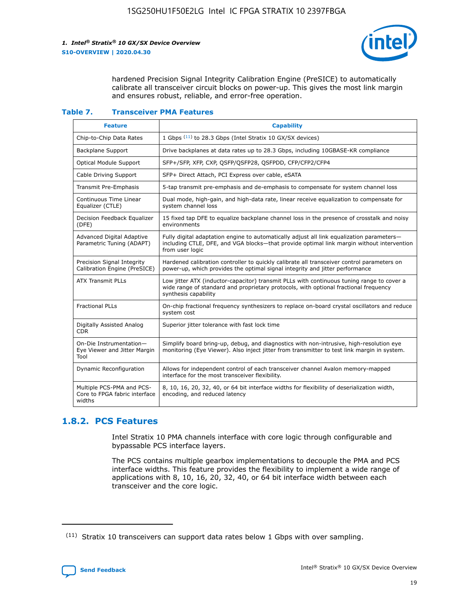

hardened Precision Signal Integrity Calibration Engine (PreSICE) to automatically calibrate all transceiver circuit blocks on power-up. This gives the most link margin and ensures robust, reliable, and error-free operation.

#### **Table 7. Transceiver PMA Features**

| <b>Feature</b>                                                       | <b>Capability</b>                                                                                                                                                                                         |
|----------------------------------------------------------------------|-----------------------------------------------------------------------------------------------------------------------------------------------------------------------------------------------------------|
| Chip-to-Chip Data Rates                                              | 1 Gbps (11) to 28.3 Gbps (Intel Stratix 10 GX/SX devices)                                                                                                                                                 |
| <b>Backplane Support</b>                                             | Drive backplanes at data rates up to 28.3 Gbps, including 10GBASE-KR compliance                                                                                                                           |
| Optical Module Support                                               | SFP+/SFP, XFP, CXP, QSFP/QSFP28, QSFPDD, CFP/CFP2/CFP4                                                                                                                                                    |
| Cable Driving Support                                                | SFP+ Direct Attach, PCI Express over cable, eSATA                                                                                                                                                         |
| <b>Transmit Pre-Emphasis</b>                                         | 5-tap transmit pre-emphasis and de-emphasis to compensate for system channel loss                                                                                                                         |
| Continuous Time Linear<br>Equalizer (CTLE)                           | Dual mode, high-gain, and high-data rate, linear receive equalization to compensate for<br>system channel loss                                                                                            |
| Decision Feedback Equalizer<br>(DFE)                                 | 15 fixed tap DFE to equalize backplane channel loss in the presence of crosstalk and noisy<br>environments                                                                                                |
| Advanced Digital Adaptive<br>Parametric Tuning (ADAPT)               | Fully digital adaptation engine to automatically adjust all link equalization parameters-<br>including CTLE, DFE, and VGA blocks-that provide optimal link margin without intervention<br>from user logic |
| Precision Signal Integrity<br>Calibration Engine (PreSICE)           | Hardened calibration controller to quickly calibrate all transceiver control parameters on<br>power-up, which provides the optimal signal integrity and jitter performance                                |
| <b>ATX Transmit PLLs</b>                                             | Low jitter ATX (inductor-capacitor) transmit PLLs with continuous tuning range to cover a<br>wide range of standard and proprietary protocols, with optional fractional frequency<br>synthesis capability |
| <b>Fractional PLLs</b>                                               | On-chip fractional frequency synthesizers to replace on-board crystal oscillators and reduce<br>system cost                                                                                               |
| Digitally Assisted Analog<br>CDR.                                    | Superior jitter tolerance with fast lock time                                                                                                                                                             |
| On-Die Instrumentation-<br>Eye Viewer and Jitter Margin<br>Tool      | Simplify board bring-up, debug, and diagnostics with non-intrusive, high-resolution eye<br>monitoring (Eye Viewer). Also inject jitter from transmitter to test link margin in system.                    |
| Dynamic Reconfiguration                                              | Allows for independent control of each transceiver channel Avalon memory-mapped<br>interface for the most transceiver flexibility.                                                                        |
| Multiple PCS-PMA and PCS-<br>Core to FPGA fabric interface<br>widths | 8, 10, 16, 20, 32, 40, or 64 bit interface widths for flexibility of deserialization width,<br>encoding, and reduced latency                                                                              |

### **1.8.2. PCS Features**

Intel Stratix 10 PMA channels interface with core logic through configurable and bypassable PCS interface layers.

The PCS contains multiple gearbox implementations to decouple the PMA and PCS interface widths. This feature provides the flexibility to implement a wide range of applications with 8, 10, 16, 20, 32, 40, or 64 bit interface width between each transceiver and the core logic.

<sup>(11)</sup> Stratix 10 transceivers can support data rates below 1 Gbps with over sampling.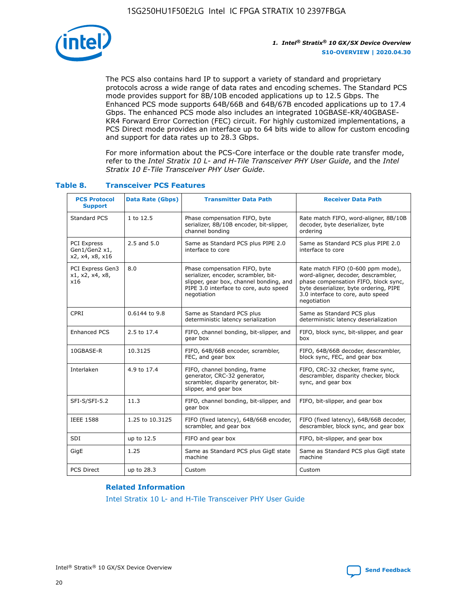

The PCS also contains hard IP to support a variety of standard and proprietary protocols across a wide range of data rates and encoding schemes. The Standard PCS mode provides support for 8B/10B encoded applications up to 12.5 Gbps. The Enhanced PCS mode supports 64B/66B and 64B/67B encoded applications up to 17.4 Gbps. The enhanced PCS mode also includes an integrated 10GBASE-KR/40GBASE-KR4 Forward Error Correction (FEC) circuit. For highly customized implementations, a PCS Direct mode provides an interface up to 64 bits wide to allow for custom encoding and support for data rates up to 28.3 Gbps.

For more information about the PCS-Core interface or the double rate transfer mode, refer to the *Intel Stratix 10 L- and H-Tile Transceiver PHY User Guide*, and the *Intel Stratix 10 E-Tile Transceiver PHY User Guide*.

| <b>PCS Protocol</b><br><b>Support</b>           | <b>Data Rate (Gbps)</b> | <b>Transmitter Data Path</b>                                                                                                                                              | <b>Receiver Data Path</b>                                                                                                                                                                                      |
|-------------------------------------------------|-------------------------|---------------------------------------------------------------------------------------------------------------------------------------------------------------------------|----------------------------------------------------------------------------------------------------------------------------------------------------------------------------------------------------------------|
| Standard PCS                                    | 1 to 12.5               | Phase compensation FIFO, byte<br>serializer, 8B/10B encoder, bit-slipper,<br>channel bonding                                                                              | Rate match FIFO, word-aligner, 8B/10B<br>decoder, byte deserializer, byte<br>ordering                                                                                                                          |
| PCI Express<br>Gen1/Gen2 x1,<br>x2, x4, x8, x16 | $2.5$ and $5.0$         | Same as Standard PCS plus PIPE 2.0<br>interface to core                                                                                                                   | Same as Standard PCS plus PIPE 2.0<br>interface to core                                                                                                                                                        |
| PCI Express Gen3<br>x1, x2, x4, x8,<br>x16      | 8.0                     | Phase compensation FIFO, byte<br>serializer, encoder, scrambler, bit-<br>slipper, gear box, channel bonding, and<br>PIPE 3.0 interface to core, auto speed<br>negotiation | Rate match FIFO (0-600 ppm mode),<br>word-aligner, decoder, descrambler,<br>phase compensation FIFO, block sync,<br>byte deserializer, byte ordering, PIPE<br>3.0 interface to core, auto speed<br>negotiation |
| CPRI                                            | 0.6144 to 9.8           | Same as Standard PCS plus<br>deterministic latency serialization                                                                                                          | Same as Standard PCS plus<br>deterministic latency deserialization                                                                                                                                             |
| <b>Enhanced PCS</b>                             | 2.5 to 17.4             | FIFO, channel bonding, bit-slipper, and<br>gear box                                                                                                                       | FIFO, block sync, bit-slipper, and gear<br>box                                                                                                                                                                 |
| 10GBASE-R                                       | 10.3125                 | FIFO, 64B/66B encoder, scrambler,<br>FEC, and gear box                                                                                                                    | FIFO, 64B/66B decoder, descrambler,<br>block sync, FEC, and gear box                                                                                                                                           |
| Interlaken                                      | 4.9 to 17.4             | FIFO, channel bonding, frame<br>generator, CRC-32 generator,<br>scrambler, disparity generator, bit-<br>slipper, and gear box                                             | FIFO, CRC-32 checker, frame sync,<br>descrambler, disparity checker, block<br>sync, and gear box                                                                                                               |
| SFI-S/SFI-5.2                                   | 11.3                    | FIFO, channel bonding, bit-slipper, and<br>gear box                                                                                                                       | FIFO, bit-slipper, and gear box                                                                                                                                                                                |
| <b>IEEE 1588</b>                                | 1.25 to 10.3125         | FIFO (fixed latency), 64B/66B encoder,<br>scrambler, and gear box                                                                                                         | FIFO (fixed latency), 64B/66B decoder,<br>descrambler, block sync, and gear box                                                                                                                                |
| SDI                                             | up to 12.5              | FIFO and gear box                                                                                                                                                         | FIFO, bit-slipper, and gear box                                                                                                                                                                                |
| GigE                                            | 1.25                    | Same as Standard PCS plus GigE state<br>machine                                                                                                                           | Same as Standard PCS plus GigE state<br>machine                                                                                                                                                                |
| <b>PCS Direct</b>                               | up to 28.3              | Custom                                                                                                                                                                    | Custom                                                                                                                                                                                                         |

#### **Table 8. Transceiver PCS Features**

#### **Related Information**

[Intel Stratix 10 L- and H-Tile Transceiver PHY User Guide](https://www.altera.com/documentation/wry1479165198810.html)

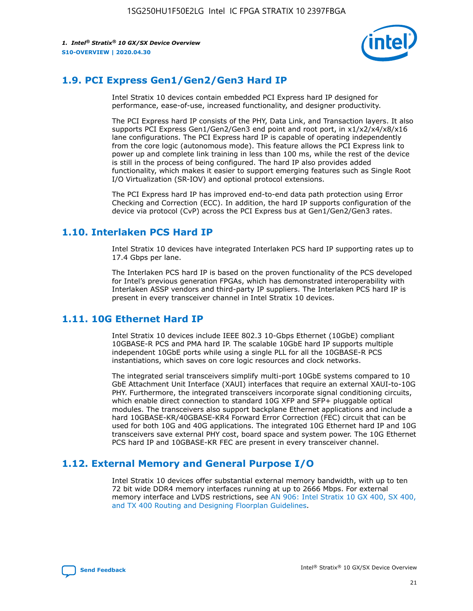

# **1.9. PCI Express Gen1/Gen2/Gen3 Hard IP**

Intel Stratix 10 devices contain embedded PCI Express hard IP designed for performance, ease-of-use, increased functionality, and designer productivity.

The PCI Express hard IP consists of the PHY, Data Link, and Transaction layers. It also supports PCI Express Gen1/Gen2/Gen3 end point and root port, in x1/x2/x4/x8/x16 lane configurations. The PCI Express hard IP is capable of operating independently from the core logic (autonomous mode). This feature allows the PCI Express link to power up and complete link training in less than 100 ms, while the rest of the device is still in the process of being configured. The hard IP also provides added functionality, which makes it easier to support emerging features such as Single Root I/O Virtualization (SR-IOV) and optional protocol extensions.

The PCI Express hard IP has improved end-to-end data path protection using Error Checking and Correction (ECC). In addition, the hard IP supports configuration of the device via protocol (CvP) across the PCI Express bus at Gen1/Gen2/Gen3 rates.

# **1.10. Interlaken PCS Hard IP**

Intel Stratix 10 devices have integrated Interlaken PCS hard IP supporting rates up to 17.4 Gbps per lane.

The Interlaken PCS hard IP is based on the proven functionality of the PCS developed for Intel's previous generation FPGAs, which has demonstrated interoperability with Interlaken ASSP vendors and third-party IP suppliers. The Interlaken PCS hard IP is present in every transceiver channel in Intel Stratix 10 devices.

# **1.11. 10G Ethernet Hard IP**

Intel Stratix 10 devices include IEEE 802.3 10-Gbps Ethernet (10GbE) compliant 10GBASE-R PCS and PMA hard IP. The scalable 10GbE hard IP supports multiple independent 10GbE ports while using a single PLL for all the 10GBASE-R PCS instantiations, which saves on core logic resources and clock networks.

The integrated serial transceivers simplify multi-port 10GbE systems compared to 10 GbE Attachment Unit Interface (XAUI) interfaces that require an external XAUI-to-10G PHY. Furthermore, the integrated transceivers incorporate signal conditioning circuits, which enable direct connection to standard 10G XFP and SFP+ pluggable optical modules. The transceivers also support backplane Ethernet applications and include a hard 10GBASE-KR/40GBASE-KR4 Forward Error Correction (FEC) circuit that can be used for both 10G and 40G applications. The integrated 10G Ethernet hard IP and 10G transceivers save external PHY cost, board space and system power. The 10G Ethernet PCS hard IP and 10GBASE-KR FEC are present in every transceiver channel.

# **1.12. External Memory and General Purpose I/O**

Intel Stratix 10 devices offer substantial external memory bandwidth, with up to ten 72 bit wide DDR4 memory interfaces running at up to 2666 Mbps. For external memory interface and LVDS restrictions, see [AN 906: Intel Stratix 10 GX 400, SX 400,](https://www.intel.com/content/www/us/en/programmable/documentation/sjf1574667190623.html#bft1574667627484) [and TX 400 Routing and Designing Floorplan Guidelines.](https://www.intel.com/content/www/us/en/programmable/documentation/sjf1574667190623.html#bft1574667627484)

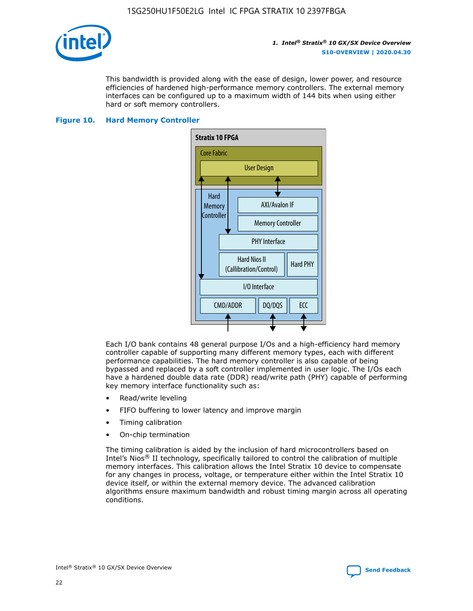

This bandwidth is provided along with the ease of design, lower power, and resource efficiencies of hardened high-performance memory controllers. The external memory interfaces can be configured up to a maximum width of 144 bits when using either hard or soft memory controllers.

#### **Figure 10. Hard Memory Controller**



Each I/O bank contains 48 general purpose I/Os and a high-efficiency hard memory controller capable of supporting many different memory types, each with different performance capabilities. The hard memory controller is also capable of being bypassed and replaced by a soft controller implemented in user logic. The I/Os each have a hardened double data rate (DDR) read/write path (PHY) capable of performing key memory interface functionality such as:

- Read/write leveling
- FIFO buffering to lower latency and improve margin
- Timing calibration
- On-chip termination

The timing calibration is aided by the inclusion of hard microcontrollers based on Intel's Nios® II technology, specifically tailored to control the calibration of multiple memory interfaces. This calibration allows the Intel Stratix 10 device to compensate for any changes in process, voltage, or temperature either within the Intel Stratix 10 device itself, or within the external memory device. The advanced calibration algorithms ensure maximum bandwidth and robust timing margin across all operating conditions.

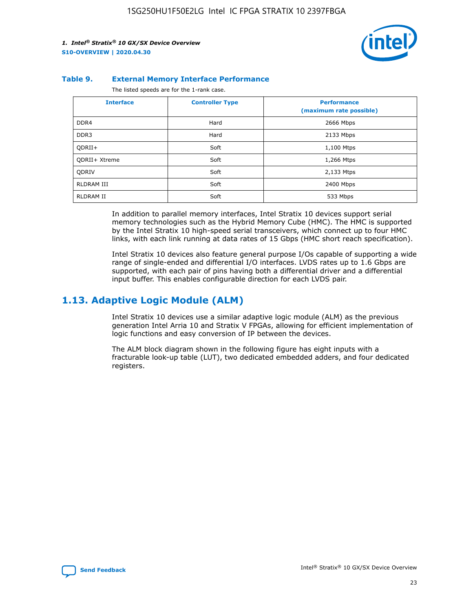

#### **Table 9. External Memory Interface Performance**

The listed speeds are for the 1-rank case.

| <b>Interface</b>     | <b>Controller Type</b> | <b>Performance</b><br>(maximum rate possible) |
|----------------------|------------------------|-----------------------------------------------|
| DDR4                 | Hard                   | 2666 Mbps                                     |
| DDR <sub>3</sub>     | Hard                   | 2133 Mbps                                     |
| QDRII+               | Soft                   | 1,100 Mtps                                    |
| <b>ODRII+ Xtreme</b> | Soft                   | 1,266 Mtps                                    |
| <b>ODRIV</b>         | Soft                   | 2,133 Mtps                                    |
| RLDRAM III           | Soft                   | 2400 Mbps                                     |
| <b>RLDRAM II</b>     | Soft                   | 533 Mbps                                      |

In addition to parallel memory interfaces, Intel Stratix 10 devices support serial memory technologies such as the Hybrid Memory Cube (HMC). The HMC is supported by the Intel Stratix 10 high-speed serial transceivers, which connect up to four HMC links, with each link running at data rates of 15 Gbps (HMC short reach specification).

Intel Stratix 10 devices also feature general purpose I/Os capable of supporting a wide range of single-ended and differential I/O interfaces. LVDS rates up to 1.6 Gbps are supported, with each pair of pins having both a differential driver and a differential input buffer. This enables configurable direction for each LVDS pair.

## **1.13. Adaptive Logic Module (ALM)**

Intel Stratix 10 devices use a similar adaptive logic module (ALM) as the previous generation Intel Arria 10 and Stratix V FPGAs, allowing for efficient implementation of logic functions and easy conversion of IP between the devices.

The ALM block diagram shown in the following figure has eight inputs with a fracturable look-up table (LUT), two dedicated embedded adders, and four dedicated registers.

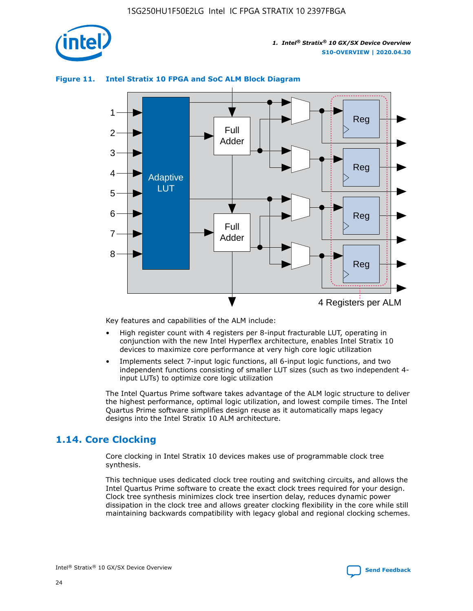

# Reg Reg 1 2 3 4 5 6 7 8 Reg Reg 4 Registers per ALM Full Adder Full Adder Adaptive **LUT**

#### **Figure 11. Intel Stratix 10 FPGA and SoC ALM Block Diagram**

Key features and capabilities of the ALM include:

- High register count with 4 registers per 8-input fracturable LUT, operating in conjunction with the new Intel Hyperflex architecture, enables Intel Stratix 10 devices to maximize core performance at very high core logic utilization
- Implements select 7-input logic functions, all 6-input logic functions, and two independent functions consisting of smaller LUT sizes (such as two independent 4 input LUTs) to optimize core logic utilization

The Intel Quartus Prime software takes advantage of the ALM logic structure to deliver the highest performance, optimal logic utilization, and lowest compile times. The Intel Quartus Prime software simplifies design reuse as it automatically maps legacy designs into the Intel Stratix 10 ALM architecture.

# **1.14. Core Clocking**

Core clocking in Intel Stratix 10 devices makes use of programmable clock tree synthesis.

This technique uses dedicated clock tree routing and switching circuits, and allows the Intel Quartus Prime software to create the exact clock trees required for your design. Clock tree synthesis minimizes clock tree insertion delay, reduces dynamic power dissipation in the clock tree and allows greater clocking flexibility in the core while still maintaining backwards compatibility with legacy global and regional clocking schemes.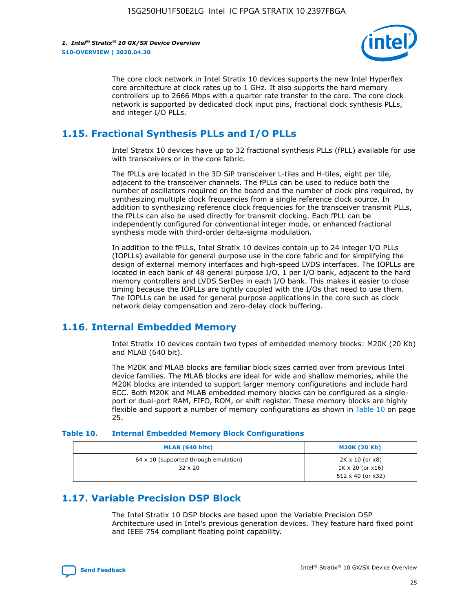

The core clock network in Intel Stratix 10 devices supports the new Intel Hyperflex core architecture at clock rates up to 1 GHz. It also supports the hard memory controllers up to 2666 Mbps with a quarter rate transfer to the core. The core clock network is supported by dedicated clock input pins, fractional clock synthesis PLLs, and integer I/O PLLs.

# **1.15. Fractional Synthesis PLLs and I/O PLLs**

Intel Stratix 10 devices have up to 32 fractional synthesis PLLs (fPLL) available for use with transceivers or in the core fabric.

The fPLLs are located in the 3D SiP transceiver L-tiles and H-tiles, eight per tile, adjacent to the transceiver channels. The fPLLs can be used to reduce both the number of oscillators required on the board and the number of clock pins required, by synthesizing multiple clock frequencies from a single reference clock source. In addition to synthesizing reference clock frequencies for the transceiver transmit PLLs, the fPLLs can also be used directly for transmit clocking. Each fPLL can be independently configured for conventional integer mode, or enhanced fractional synthesis mode with third-order delta-sigma modulation.

In addition to the fPLLs, Intel Stratix 10 devices contain up to 24 integer I/O PLLs (IOPLLs) available for general purpose use in the core fabric and for simplifying the design of external memory interfaces and high-speed LVDS interfaces. The IOPLLs are located in each bank of 48 general purpose I/O, 1 per I/O bank, adjacent to the hard memory controllers and LVDS SerDes in each I/O bank. This makes it easier to close timing because the IOPLLs are tightly coupled with the I/Os that need to use them. The IOPLLs can be used for general purpose applications in the core such as clock network delay compensation and zero-delay clock buffering.

# **1.16. Internal Embedded Memory**

Intel Stratix 10 devices contain two types of embedded memory blocks: M20K (20 Kb) and MLAB (640 bit).

The M20K and MLAB blocks are familiar block sizes carried over from previous Intel device families. The MLAB blocks are ideal for wide and shallow memories, while the M20K blocks are intended to support larger memory configurations and include hard ECC. Both M20K and MLAB embedded memory blocks can be configured as a singleport or dual-port RAM, FIFO, ROM, or shift register. These memory blocks are highly flexible and support a number of memory configurations as shown in Table 10 on page 25.

#### **Table 10. Internal Embedded Memory Block Configurations**

| MLAB (640 bits)                                                | <b>M20K (20 Kb)</b>                                                          |
|----------------------------------------------------------------|------------------------------------------------------------------------------|
| $64 \times 10$ (supported through emulation)<br>$32 \times 20$ | 2K x 10 (or x8)<br>$1K \times 20$ (or $x16$ )<br>$512 \times 40$ (or $x32$ ) |

# **1.17. Variable Precision DSP Block**

The Intel Stratix 10 DSP blocks are based upon the Variable Precision DSP Architecture used in Intel's previous generation devices. They feature hard fixed point and IEEE 754 compliant floating point capability.

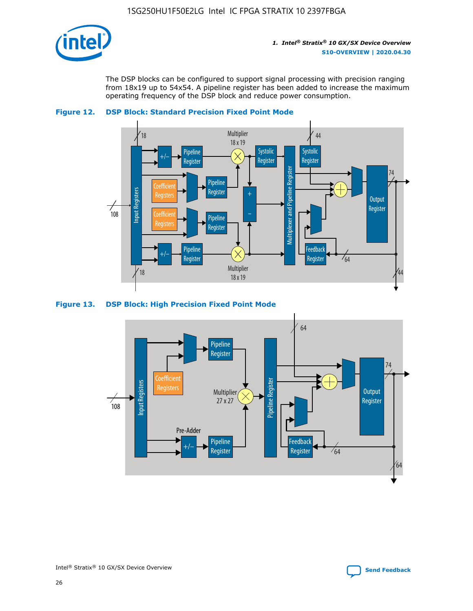

The DSP blocks can be configured to support signal processing with precision ranging from 18x19 up to 54x54. A pipeline register has been added to increase the maximum operating frequency of the DSP block and reduce power consumption.





#### **Figure 13. DSP Block: High Precision Fixed Point Mode**

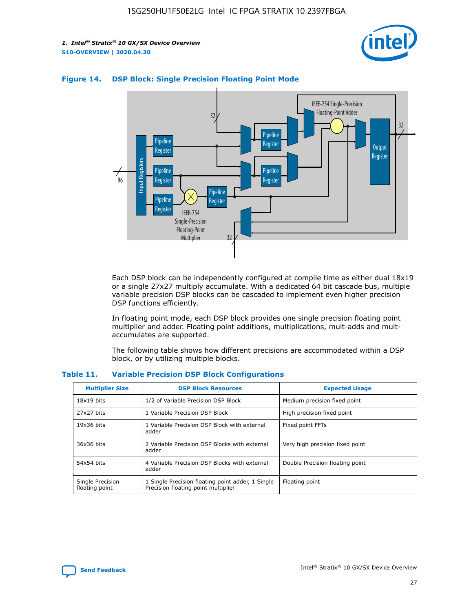



#### **Figure 14. DSP Block: Single Precision Floating Point Mode**

Each DSP block can be independently configured at compile time as either dual 18x19 or a single 27x27 multiply accumulate. With a dedicated 64 bit cascade bus, multiple variable precision DSP blocks can be cascaded to implement even higher precision DSP functions efficiently.

In floating point mode, each DSP block provides one single precision floating point multiplier and adder. Floating point additions, multiplications, mult-adds and multaccumulates are supported.

The following table shows how different precisions are accommodated within a DSP block, or by utilizing multiple blocks.

| <b>Multiplier Size</b>             | <b>DSP Block Resources</b>                                                               | <b>Expected Usage</b>           |
|------------------------------------|------------------------------------------------------------------------------------------|---------------------------------|
| $18x19$ bits                       | 1/2 of Variable Precision DSP Block                                                      | Medium precision fixed point    |
| 27x27 bits                         | 1 Variable Precision DSP Block                                                           | High precision fixed point      |
| $19x36$ bits                       | 1 Variable Precision DSP Block with external<br>adder                                    | Fixed point FFTs                |
| 36x36 bits                         | 2 Variable Precision DSP Blocks with external<br>adder                                   | Very high precision fixed point |
| 54x54 bits                         | 4 Variable Precision DSP Blocks with external<br>adder                                   | Double Precision floating point |
| Single Precision<br>floating point | 1 Single Precision floating point adder, 1 Single<br>Precision floating point multiplier | Floating point                  |

#### **Table 11. Variable Precision DSP Block Configurations**

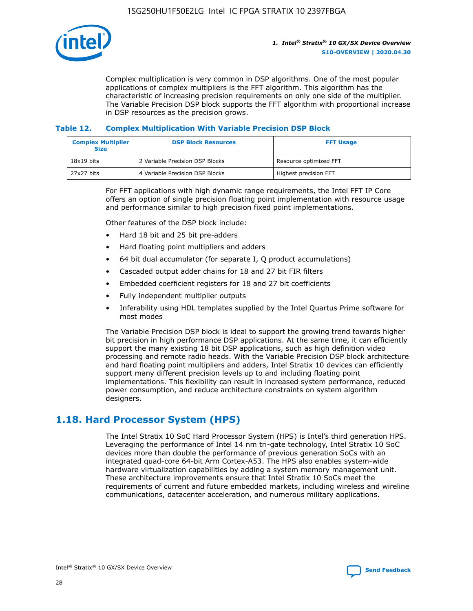

Complex multiplication is very common in DSP algorithms. One of the most popular applications of complex multipliers is the FFT algorithm. This algorithm has the characteristic of increasing precision requirements on only one side of the multiplier. The Variable Precision DSP block supports the FFT algorithm with proportional increase in DSP resources as the precision grows.

#### **Table 12. Complex Multiplication With Variable Precision DSP Block**

| <b>Complex Multiplier</b><br><b>Size</b> | <b>DSP Block Resources</b>      | <b>FFT Usage</b>       |
|------------------------------------------|---------------------------------|------------------------|
| $18x19$ bits                             | 2 Variable Precision DSP Blocks | Resource optimized FFT |
| 27x27 bits                               | 4 Variable Precision DSP Blocks | Highest precision FFT  |

For FFT applications with high dynamic range requirements, the Intel FFT IP Core offers an option of single precision floating point implementation with resource usage and performance similar to high precision fixed point implementations.

Other features of the DSP block include:

- Hard 18 bit and 25 bit pre-adders
- Hard floating point multipliers and adders
- 64 bit dual accumulator (for separate I, Q product accumulations)
- Cascaded output adder chains for 18 and 27 bit FIR filters
- Embedded coefficient registers for 18 and 27 bit coefficients
- Fully independent multiplier outputs
- Inferability using HDL templates supplied by the Intel Quartus Prime software for most modes

The Variable Precision DSP block is ideal to support the growing trend towards higher bit precision in high performance DSP applications. At the same time, it can efficiently support the many existing 18 bit DSP applications, such as high definition video processing and remote radio heads. With the Variable Precision DSP block architecture and hard floating point multipliers and adders, Intel Stratix 10 devices can efficiently support many different precision levels up to and including floating point implementations. This flexibility can result in increased system performance, reduced power consumption, and reduce architecture constraints on system algorithm designers.

# **1.18. Hard Processor System (HPS)**

The Intel Stratix 10 SoC Hard Processor System (HPS) is Intel's third generation HPS. Leveraging the performance of Intel 14 nm tri-gate technology, Intel Stratix 10 SoC devices more than double the performance of previous generation SoCs with an integrated quad-core 64-bit Arm Cortex-A53. The HPS also enables system-wide hardware virtualization capabilities by adding a system memory management unit. These architecture improvements ensure that Intel Stratix 10 SoCs meet the requirements of current and future embedded markets, including wireless and wireline communications, datacenter acceleration, and numerous military applications.

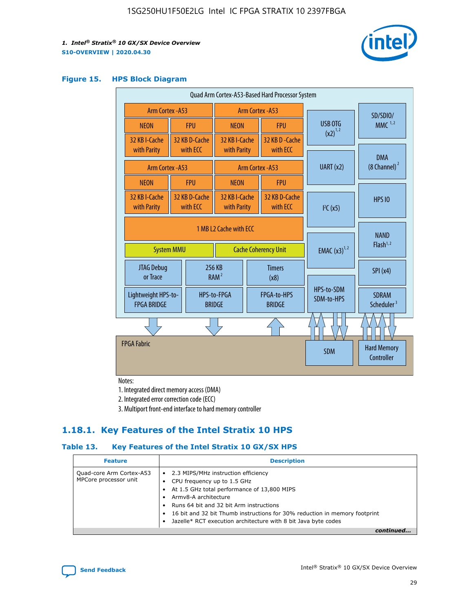

#### **Figure 15. HPS Block Diagram**

| Quad Arm Cortex-A53-Based Hard Processor System |  |                           |                                                     |  |                              |           |                          |                                        |
|-------------------------------------------------|--|---------------------------|-----------------------------------------------------|--|------------------------------|-----------|--------------------------|----------------------------------------|
| <b>Arm Cortex - A53</b>                         |  |                           | Arm Cortex - A53                                    |  |                              |           | SD/SDIO/                 |                                        |
| <b>NEON</b>                                     |  | <b>FPU</b>                | <b>NEON</b>                                         |  | <b>FPU</b>                   |           | USB OTG                  | $MMC$ <sup>1,2</sup>                   |
| 32 KB I-Cache                                   |  | 32 KB D-Cache             | 32 KB I-Cache                                       |  | 32 KB D - Cache              |           | $(x2)^{1,2}$             |                                        |
| with Parity                                     |  | with ECC                  | with Parity                                         |  | with ECC                     |           |                          | <b>DMA</b>                             |
| Arm Cortex - A53                                |  |                           |                                                     |  | Arm Cortex - A53             | UART (x2) |                          | $(8 \text{ Channel})^2$                |
| <b>NEON</b>                                     |  | <b>FPU</b>                | <b>NEON</b>                                         |  | <b>FPU</b>                   |           |                          |                                        |
| 32 KB I-Cache<br>with Parity                    |  | 32 KB D-Cache<br>with ECC | 32 KB I-Cache<br>32 KB D-Cache<br>with Parity       |  | with ECC                     |           | I <sup>2</sup> C(x5)     | <b>HPS 10</b>                          |
|                                                 |  |                           | 1 MB L2 Cache with ECC                              |  |                              |           |                          |                                        |
| <b>System MMU</b>                               |  |                           | <b>Cache Coherency Unit</b>                         |  |                              |           | <b>EMAC</b> $(x3)^{1,2}$ | <b>NAND</b><br>Flash <sup>1,2</sup>    |
| JTAG Debug<br>or Trace                          |  |                           | 256 KB<br><b>Timers</b><br>RAM <sup>2</sup><br>(x8) |  |                              |           | SPI(x4)                  |                                        |
| Lightweight HPS-to-<br><b>FPGA BRIDGE</b>       |  |                           | HPS-to-FPGA<br><b>BRIDGE</b>                        |  | FPGA-to-HPS<br><b>BRIDGE</b> |           | HPS-to-SDM<br>SDM-to-HPS | <b>SDRAM</b><br>Scheduler <sup>3</sup> |
|                                                 |  |                           |                                                     |  |                              |           |                          |                                        |
| <b>FPGA Fabric</b>                              |  |                           |                                                     |  |                              |           | <b>SDM</b>               | <b>Hard Memory</b><br>Controller       |
|                                                 |  |                           |                                                     |  |                              |           |                          |                                        |

Notes:

1. Integrated direct memory access (DMA)

2. Integrated error correction code (ECC)

3. Multiport front-end interface to hard memory controller

## **1.18.1. Key Features of the Intel Stratix 10 HPS**

#### **Table 13. Key Features of the Intel Stratix 10 GX/SX HPS**

| <b>Feature</b>                                    | <b>Description</b>                                                                                                                                                                                                                                                                                                                                     |
|---------------------------------------------------|--------------------------------------------------------------------------------------------------------------------------------------------------------------------------------------------------------------------------------------------------------------------------------------------------------------------------------------------------------|
| Quad-core Arm Cortex-A53<br>MPCore processor unit | 2.3 MIPS/MHz instruction efficiency<br>$\bullet$<br>CPU frequency up to 1.5 GHz<br>٠<br>At 1.5 GHz total performance of 13,800 MIPS<br>Army8-A architecture<br>Runs 64 bit and 32 bit Arm instructions<br>16 bit and 32 bit Thumb instructions for 30% reduction in memory footprint<br>Jazelle* RCT execution architecture with 8 bit Java byte codes |
|                                                   |                                                                                                                                                                                                                                                                                                                                                        |

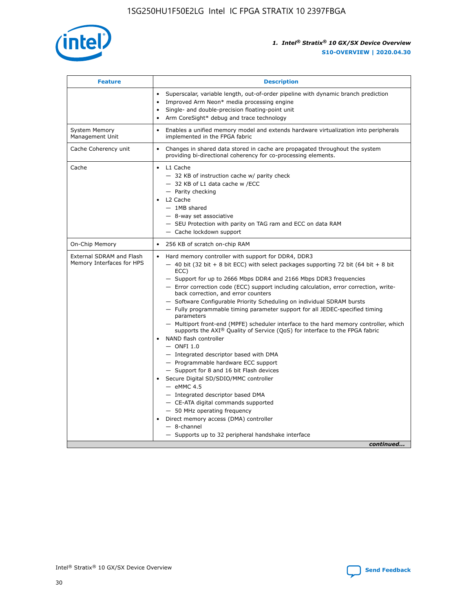

| <b>Feature</b>                                        | <b>Description</b>                                                                                                                                                                                                                                                                                                                                                                                                                                                                                                                                                                                                                                                                                                                                                                                                                                                                                                                                                                                                                                                                                                                                                                                                     |
|-------------------------------------------------------|------------------------------------------------------------------------------------------------------------------------------------------------------------------------------------------------------------------------------------------------------------------------------------------------------------------------------------------------------------------------------------------------------------------------------------------------------------------------------------------------------------------------------------------------------------------------------------------------------------------------------------------------------------------------------------------------------------------------------------------------------------------------------------------------------------------------------------------------------------------------------------------------------------------------------------------------------------------------------------------------------------------------------------------------------------------------------------------------------------------------------------------------------------------------------------------------------------------------|
|                                                       | Superscalar, variable length, out-of-order pipeline with dynamic branch prediction<br>Improved Arm Neon* media processing engine<br>$\bullet$<br>Single- and double-precision floating-point unit<br>Arm CoreSight* debug and trace technology<br>$\bullet$                                                                                                                                                                                                                                                                                                                                                                                                                                                                                                                                                                                                                                                                                                                                                                                                                                                                                                                                                            |
| <b>System Memory</b><br>Management Unit               | Enables a unified memory model and extends hardware virtualization into peripherals<br>$\bullet$<br>implemented in the FPGA fabric                                                                                                                                                                                                                                                                                                                                                                                                                                                                                                                                                                                                                                                                                                                                                                                                                                                                                                                                                                                                                                                                                     |
| Cache Coherency unit                                  | $\bullet$<br>Changes in shared data stored in cache are propagated throughout the system<br>providing bi-directional coherency for co-processing elements.                                                                                                                                                                                                                                                                                                                                                                                                                                                                                                                                                                                                                                                                                                                                                                                                                                                                                                                                                                                                                                                             |
| Cache                                                 | L1 Cache<br>$\bullet$<br>- 32 KB of instruction cache w/ parity check<br>- 32 KB of L1 data cache w /ECC<br>- Parity checking<br>L2 Cache<br>$-$ 1MB shared<br>- 8-way set associative<br>- SEU Protection with parity on TAG ram and ECC on data RAM<br>- Cache lockdown support                                                                                                                                                                                                                                                                                                                                                                                                                                                                                                                                                                                                                                                                                                                                                                                                                                                                                                                                      |
| On-Chip Memory                                        | 256 KB of scratch on-chip RAM<br>$\bullet$                                                                                                                                                                                                                                                                                                                                                                                                                                                                                                                                                                                                                                                                                                                                                                                                                                                                                                                                                                                                                                                                                                                                                                             |
| External SDRAM and Flash<br>Memory Interfaces for HPS | Hard memory controller with support for DDR4, DDR3<br>$\bullet$<br>$-$ 40 bit (32 bit + 8 bit ECC) with select packages supporting 72 bit (64 bit + 8 bit<br>ECC)<br>- Support for up to 2666 Mbps DDR4 and 2166 Mbps DDR3 frequencies<br>- Error correction code (ECC) support including calculation, error correction, write-<br>back correction, and error counters<br>- Software Configurable Priority Scheduling on individual SDRAM bursts<br>- Fully programmable timing parameter support for all JEDEC-specified timing<br>parameters<br>- Multiport front-end (MPFE) scheduler interface to the hard memory controller, which<br>supports the $AXI^{\circledR}$ Quality of Service (QoS) for interface to the FPGA fabric<br>NAND flash controller<br>$-$ ONFI 1.0<br>- Integrated descriptor based with DMA<br>- Programmable hardware ECC support<br>- Support for 8 and 16 bit Flash devices<br>Secure Digital SD/SDIO/MMC controller<br>$-$ eMMC 4.5<br>- Integrated descriptor based DMA<br>- CE-ATA digital commands supported<br>- 50 MHz operating frequency<br>Direct memory access (DMA) controller<br>$\bullet$<br>- 8-channel<br>- Supports up to 32 peripheral handshake interface<br>continued |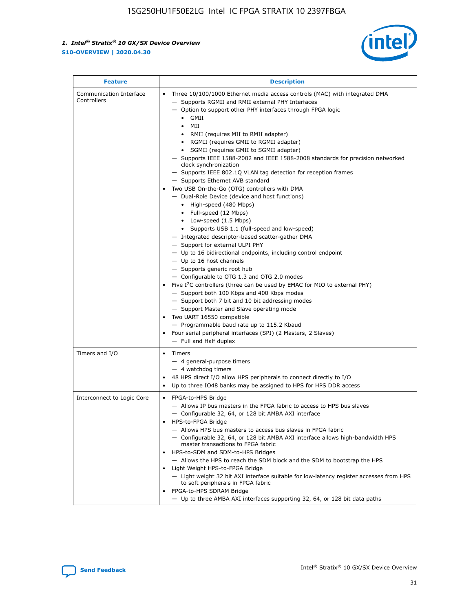

| <b>Feature</b>                         | <b>Description</b>                                                                                                                                                                                                                                                                                                                                                                                                                                                                                                                                                                                                                                                                                                                                                                                                                                                                                                                                                                                                                                                                                                                                                                                                                                                                                                                                                                                                                                                                                                  |
|----------------------------------------|---------------------------------------------------------------------------------------------------------------------------------------------------------------------------------------------------------------------------------------------------------------------------------------------------------------------------------------------------------------------------------------------------------------------------------------------------------------------------------------------------------------------------------------------------------------------------------------------------------------------------------------------------------------------------------------------------------------------------------------------------------------------------------------------------------------------------------------------------------------------------------------------------------------------------------------------------------------------------------------------------------------------------------------------------------------------------------------------------------------------------------------------------------------------------------------------------------------------------------------------------------------------------------------------------------------------------------------------------------------------------------------------------------------------------------------------------------------------------------------------------------------------|
| Communication Interface<br>Controllers | Three 10/100/1000 Ethernet media access controls (MAC) with integrated DMA<br>$\bullet$<br>- Supports RGMII and RMII external PHY Interfaces<br>- Option to support other PHY interfaces through FPGA logic<br>GMII<br>$\bullet$<br>MII<br>$\bullet$<br>• RMII (requires MII to RMII adapter)<br>• RGMII (requires GMII to RGMII adapter)<br>• SGMII (requires GMII to SGMII adapter)<br>- Supports IEEE 1588-2002 and IEEE 1588-2008 standards for precision networked<br>clock synchronization<br>- Supports IEEE 802.1Q VLAN tag detection for reception frames<br>- Supports Ethernet AVB standard<br>Two USB On-the-Go (OTG) controllers with DMA<br>- Dual-Role Device (device and host functions)<br>• High-speed (480 Mbps)<br>• Full-speed (12 Mbps)<br>• Low-speed (1.5 Mbps)<br>• Supports USB 1.1 (full-speed and low-speed)<br>- Integrated descriptor-based scatter-gather DMA<br>- Support for external ULPI PHY<br>- Up to 16 bidirectional endpoints, including control endpoint<br>$-$ Up to 16 host channels<br>- Supports generic root hub<br>- Configurable to OTG 1.3 and OTG 2.0 modes<br>Five $I^2C$ controllers (three can be used by EMAC for MIO to external PHY)<br>- Support both 100 Kbps and 400 Kbps modes<br>- Support both 7 bit and 10 bit addressing modes<br>- Support Master and Slave operating mode<br>Two UART 16550 compatible<br>- Programmable baud rate up to 115.2 Kbaud<br>• Four serial peripheral interfaces (SPI) (2 Masters, 2 Slaves)<br>- Full and Half duplex |
| Timers and I/O                         | $\bullet$ Timers<br>- 4 general-purpose timers<br>$-4$ watchdog timers<br>48 HPS direct I/O allow HPS peripherals to connect directly to I/O<br>Up to three IO48 banks may be assigned to HPS for HPS DDR access                                                                                                                                                                                                                                                                                                                                                                                                                                                                                                                                                                                                                                                                                                                                                                                                                                                                                                                                                                                                                                                                                                                                                                                                                                                                                                    |
| Interconnect to Logic Core             | • FPGA-to-HPS Bridge<br>- Allows IP bus masters in the FPGA fabric to access to HPS bus slaves<br>- Configurable 32, 64, or 128 bit AMBA AXI interface<br>HPS-to-FPGA Bridge<br>- Allows HPS bus masters to access bus slaves in FPGA fabric<br>- Configurable 32, 64, or 128 bit AMBA AXI interface allows high-bandwidth HPS<br>master transactions to FPGA fabric<br>HPS-to-SDM and SDM-to-HPS Bridges<br>- Allows the HPS to reach the SDM block and the SDM to bootstrap the HPS<br>Light Weight HPS-to-FPGA Bridge<br>- Light weight 32 bit AXI interface suitable for low-latency register accesses from HPS<br>to soft peripherals in FPGA fabric<br>FPGA-to-HPS SDRAM Bridge<br>- Up to three AMBA AXI interfaces supporting 32, 64, or 128 bit data paths                                                                                                                                                                                                                                                                                                                                                                                                                                                                                                                                                                                                                                                                                                                                                 |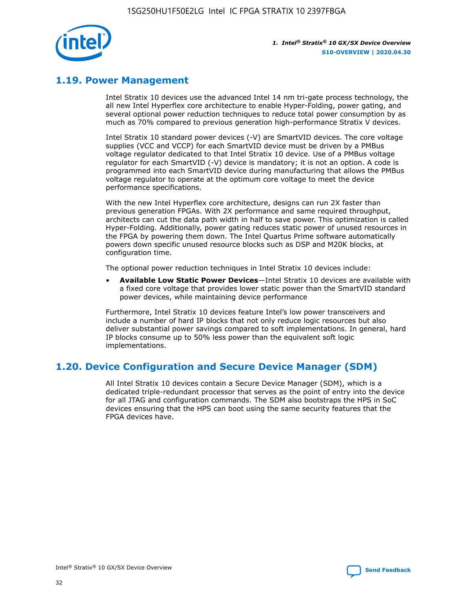

# **1.19. Power Management**

Intel Stratix 10 devices use the advanced Intel 14 nm tri-gate process technology, the all new Intel Hyperflex core architecture to enable Hyper-Folding, power gating, and several optional power reduction techniques to reduce total power consumption by as much as 70% compared to previous generation high-performance Stratix V devices.

Intel Stratix 10 standard power devices (-V) are SmartVID devices. The core voltage supplies (VCC and VCCP) for each SmartVID device must be driven by a PMBus voltage regulator dedicated to that Intel Stratix 10 device. Use of a PMBus voltage regulator for each SmartVID (-V) device is mandatory; it is not an option. A code is programmed into each SmartVID device during manufacturing that allows the PMBus voltage regulator to operate at the optimum core voltage to meet the device performance specifications.

With the new Intel Hyperflex core architecture, designs can run 2X faster than previous generation FPGAs. With 2X performance and same required throughput, architects can cut the data path width in half to save power. This optimization is called Hyper-Folding. Additionally, power gating reduces static power of unused resources in the FPGA by powering them down. The Intel Quartus Prime software automatically powers down specific unused resource blocks such as DSP and M20K blocks, at configuration time.

The optional power reduction techniques in Intel Stratix 10 devices include:

• **Available Low Static Power Devices**—Intel Stratix 10 devices are available with a fixed core voltage that provides lower static power than the SmartVID standard power devices, while maintaining device performance

Furthermore, Intel Stratix 10 devices feature Intel's low power transceivers and include a number of hard IP blocks that not only reduce logic resources but also deliver substantial power savings compared to soft implementations. In general, hard IP blocks consume up to 50% less power than the equivalent soft logic implementations.

# **1.20. Device Configuration and Secure Device Manager (SDM)**

All Intel Stratix 10 devices contain a Secure Device Manager (SDM), which is a dedicated triple-redundant processor that serves as the point of entry into the device for all JTAG and configuration commands. The SDM also bootstraps the HPS in SoC devices ensuring that the HPS can boot using the same security features that the FPGA devices have.

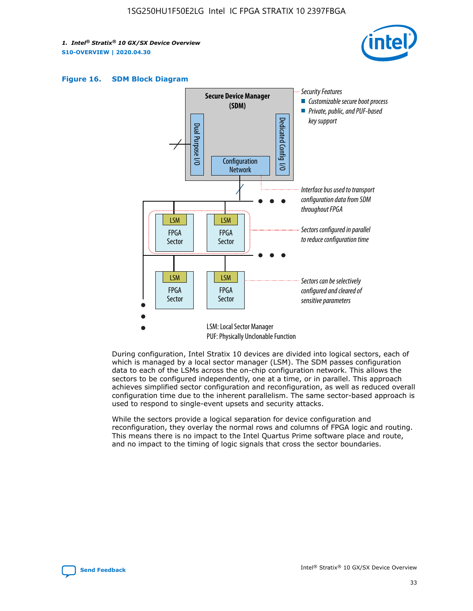





During configuration, Intel Stratix 10 devices are divided into logical sectors, each of which is managed by a local sector manager (LSM). The SDM passes configuration data to each of the LSMs across the on-chip configuration network. This allows the sectors to be configured independently, one at a time, or in parallel. This approach achieves simplified sector configuration and reconfiguration, as well as reduced overall configuration time due to the inherent parallelism. The same sector-based approach is used to respond to single-event upsets and security attacks.

While the sectors provide a logical separation for device configuration and reconfiguration, they overlay the normal rows and columns of FPGA logic and routing. This means there is no impact to the Intel Quartus Prime software place and route, and no impact to the timing of logic signals that cross the sector boundaries.

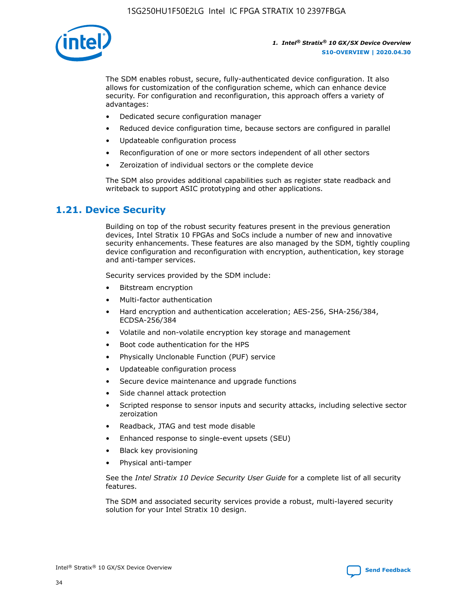

The SDM enables robust, secure, fully-authenticated device configuration. It also allows for customization of the configuration scheme, which can enhance device security. For configuration and reconfiguration, this approach offers a variety of advantages:

- Dedicated secure configuration manager
- Reduced device configuration time, because sectors are configured in parallel
- Updateable configuration process
- Reconfiguration of one or more sectors independent of all other sectors
- Zeroization of individual sectors or the complete device

The SDM also provides additional capabilities such as register state readback and writeback to support ASIC prototyping and other applications.

### **1.21. Device Security**

Building on top of the robust security features present in the previous generation devices, Intel Stratix 10 FPGAs and SoCs include a number of new and innovative security enhancements. These features are also managed by the SDM, tightly coupling device configuration and reconfiguration with encryption, authentication, key storage and anti-tamper services.

Security services provided by the SDM include:

- Bitstream encryption
- Multi-factor authentication
- Hard encryption and authentication acceleration; AES-256, SHA-256/384, ECDSA-256/384
- Volatile and non-volatile encryption key storage and management
- Boot code authentication for the HPS
- Physically Unclonable Function (PUF) service
- Updateable configuration process
- Secure device maintenance and upgrade functions
- Side channel attack protection
- Scripted response to sensor inputs and security attacks, including selective sector zeroization
- Readback, JTAG and test mode disable
- Enhanced response to single-event upsets (SEU)
- Black key provisioning
- Physical anti-tamper

See the *Intel Stratix 10 Device Security User Guide* for a complete list of all security features.

The SDM and associated security services provide a robust, multi-layered security solution for your Intel Stratix 10 design.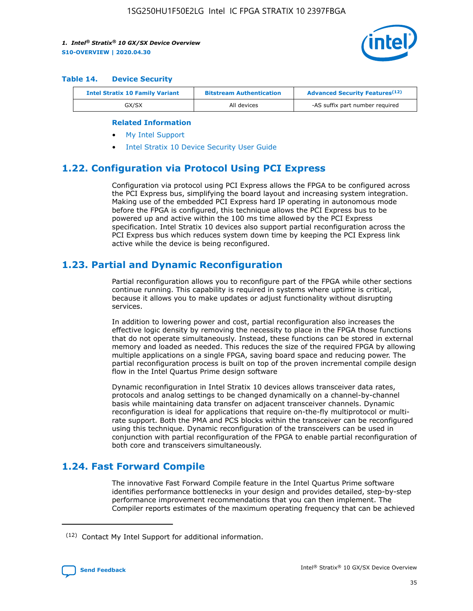

#### **Table 14. Device Security**

| <b>Intel Stratix 10 Family Variant</b> | <b>Bitstream Authentication</b> | <b>Advanced Security Features</b> <sup>(12)</sup> |
|----------------------------------------|---------------------------------|---------------------------------------------------|
| GX/SX                                  | All devices                     | -AS suffix part number required                   |

#### **Related Information**

- [My Intel Support](https://www.intel.com/content/www/us/en/programmable/my-intel/mal-home.html)
- [Intel Stratix 10 Device Security User Guide](https://www.intel.com/content/www/us/en/programmable/documentation/ndq1483601370898.html#wcd1483611014402)

### **1.22. Configuration via Protocol Using PCI Express**

Configuration via protocol using PCI Express allows the FPGA to be configured across the PCI Express bus, simplifying the board layout and increasing system integration. Making use of the embedded PCI Express hard IP operating in autonomous mode before the FPGA is configured, this technique allows the PCI Express bus to be powered up and active within the 100 ms time allowed by the PCI Express specification. Intel Stratix 10 devices also support partial reconfiguration across the PCI Express bus which reduces system down time by keeping the PCI Express link active while the device is being reconfigured.

### **1.23. Partial and Dynamic Reconfiguration**

Partial reconfiguration allows you to reconfigure part of the FPGA while other sections continue running. This capability is required in systems where uptime is critical, because it allows you to make updates or adjust functionality without disrupting services.

In addition to lowering power and cost, partial reconfiguration also increases the effective logic density by removing the necessity to place in the FPGA those functions that do not operate simultaneously. Instead, these functions can be stored in external memory and loaded as needed. This reduces the size of the required FPGA by allowing multiple applications on a single FPGA, saving board space and reducing power. The partial reconfiguration process is built on top of the proven incremental compile design flow in the Intel Quartus Prime design software

Dynamic reconfiguration in Intel Stratix 10 devices allows transceiver data rates, protocols and analog settings to be changed dynamically on a channel-by-channel basis while maintaining data transfer on adjacent transceiver channels. Dynamic reconfiguration is ideal for applications that require on-the-fly multiprotocol or multirate support. Both the PMA and PCS blocks within the transceiver can be reconfigured using this technique. Dynamic reconfiguration of the transceivers can be used in conjunction with partial reconfiguration of the FPGA to enable partial reconfiguration of both core and transceivers simultaneously.

# **1.24. Fast Forward Compile**

The innovative Fast Forward Compile feature in the Intel Quartus Prime software identifies performance bottlenecks in your design and provides detailed, step-by-step performance improvement recommendations that you can then implement. The Compiler reports estimates of the maximum operating frequency that can be achieved

<sup>(12)</sup> Contact My Intel Support for additional information.

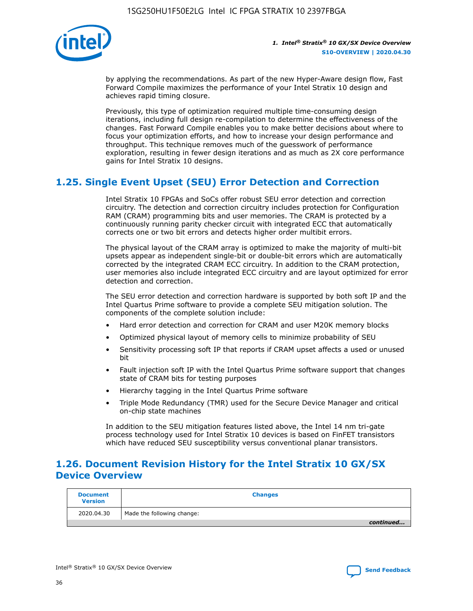

by applying the recommendations. As part of the new Hyper-Aware design flow, Fast Forward Compile maximizes the performance of your Intel Stratix 10 design and achieves rapid timing closure.

Previously, this type of optimization required multiple time-consuming design iterations, including full design re-compilation to determine the effectiveness of the changes. Fast Forward Compile enables you to make better decisions about where to focus your optimization efforts, and how to increase your design performance and throughput. This technique removes much of the guesswork of performance exploration, resulting in fewer design iterations and as much as 2X core performance gains for Intel Stratix 10 designs.

# **1.25. Single Event Upset (SEU) Error Detection and Correction**

Intel Stratix 10 FPGAs and SoCs offer robust SEU error detection and correction circuitry. The detection and correction circuitry includes protection for Configuration RAM (CRAM) programming bits and user memories. The CRAM is protected by a continuously running parity checker circuit with integrated ECC that automatically corrects one or two bit errors and detects higher order multibit errors.

The physical layout of the CRAM array is optimized to make the majority of multi-bit upsets appear as independent single-bit or double-bit errors which are automatically corrected by the integrated CRAM ECC circuitry. In addition to the CRAM protection, user memories also include integrated ECC circuitry and are layout optimized for error detection and correction.

The SEU error detection and correction hardware is supported by both soft IP and the Intel Quartus Prime software to provide a complete SEU mitigation solution. The components of the complete solution include:

- Hard error detection and correction for CRAM and user M20K memory blocks
- Optimized physical layout of memory cells to minimize probability of SEU
- Sensitivity processing soft IP that reports if CRAM upset affects a used or unused bit
- Fault injection soft IP with the Intel Quartus Prime software support that changes state of CRAM bits for testing purposes
- Hierarchy tagging in the Intel Quartus Prime software
- Triple Mode Redundancy (TMR) used for the Secure Device Manager and critical on-chip state machines

In addition to the SEU mitigation features listed above, the Intel 14 nm tri-gate process technology used for Intel Stratix 10 devices is based on FinFET transistors which have reduced SEU susceptibility versus conventional planar transistors.

# **1.26. Document Revision History for the Intel Stratix 10 GX/SX Device Overview**

| <b>Document</b><br><b>Version</b> | <b>Changes</b>             |
|-----------------------------------|----------------------------|
| 2020.04.30                        | Made the following change: |
|                                   | continued                  |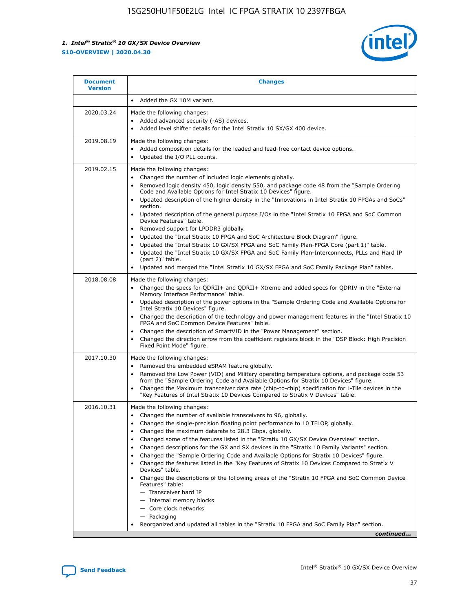

| <b>Document</b><br><b>Version</b> | <b>Changes</b>                                                                                                                                                                                                                                                                                                                                                                                                                                                                                                                                                                                                                                                                                                                                                                                                                                                                                                                                                                                              |
|-----------------------------------|-------------------------------------------------------------------------------------------------------------------------------------------------------------------------------------------------------------------------------------------------------------------------------------------------------------------------------------------------------------------------------------------------------------------------------------------------------------------------------------------------------------------------------------------------------------------------------------------------------------------------------------------------------------------------------------------------------------------------------------------------------------------------------------------------------------------------------------------------------------------------------------------------------------------------------------------------------------------------------------------------------------|
|                                   | Added the GX 10M variant.                                                                                                                                                                                                                                                                                                                                                                                                                                                                                                                                                                                                                                                                                                                                                                                                                                                                                                                                                                                   |
| 2020.03.24                        | Made the following changes:<br>Added advanced security (-AS) devices.<br>Added level shifter details for the Intel Stratix 10 SX/GX 400 device.                                                                                                                                                                                                                                                                                                                                                                                                                                                                                                                                                                                                                                                                                                                                                                                                                                                             |
| 2019.08.19                        | Made the following changes:<br>Added composition details for the leaded and lead-free contact device options.<br>$\bullet$<br>Updated the I/O PLL counts.                                                                                                                                                                                                                                                                                                                                                                                                                                                                                                                                                                                                                                                                                                                                                                                                                                                   |
| 2019.02.15                        | Made the following changes:<br>Changed the number of included logic elements globally.<br>$\bullet$<br>Removed logic density 450, logic density 550, and package code 48 from the "Sample Ordering<br>$\bullet$<br>Code and Available Options for Intel Stratix 10 Devices" figure.<br>Updated description of the higher density in the "Innovations in Intel Stratix 10 FPGAs and SoCs"<br>section.<br>Updated description of the general purpose I/Os in the "Intel Stratix 10 FPGA and SoC Common<br>$\bullet$<br>Device Features" table.<br>Removed support for LPDDR3 globally.<br>Updated the "Intel Stratix 10 FPGA and SoC Architecture Block Diagram" figure.<br>$\bullet$<br>Updated the "Intel Stratix 10 GX/SX FPGA and SoC Family Plan-FPGA Core (part 1)" table.<br>$\bullet$<br>Updated the "Intel Stratix 10 GX/SX FPGA and SoC Family Plan-Interconnects, PLLs and Hard IP<br>(part 2)" table.<br>Updated and merged the "Intel Stratix 10 GX/SX FPGA and SoC Family Package Plan" tables. |
| 2018.08.08                        | Made the following changes:<br>Changed the specs for QDRII+ and QDRII+ Xtreme and added specs for QDRIV in the "External<br>$\bullet$<br>Memory Interface Performance" table.<br>Updated description of the power options in the "Sample Ordering Code and Available Options for<br>Intel Stratix 10 Devices" figure.<br>Changed the description of the technology and power management features in the "Intel Stratix 10<br>FPGA and SoC Common Device Features" table.<br>Changed the description of SmartVID in the "Power Management" section.<br>Changed the direction arrow from the coefficient registers block in the "DSP Block: High Precision<br>$\bullet$<br>Fixed Point Mode" figure.                                                                                                                                                                                                                                                                                                          |
| 2017.10.30                        | Made the following changes:<br>Removed the embedded eSRAM feature globally.<br>$\bullet$<br>Removed the Low Power (VID) and Military operating temperature options, and package code 53<br>$\bullet$<br>from the "Sample Ordering Code and Available Options for Stratix 10 Devices" figure.<br>Changed the Maximum transceiver data rate (chip-to-chip) specification for L-Tile devices in the<br>"Key Features of Intel Stratix 10 Devices Compared to Stratix V Devices" table.                                                                                                                                                                                                                                                                                                                                                                                                                                                                                                                         |
| 2016.10.31                        | Made the following changes:<br>• Changed the number of available transceivers to 96, globally.<br>Changed the single-precision floating point performance to 10 TFLOP, globally.<br>Changed the maximum datarate to 28.3 Gbps, globally.<br>٠<br>Changed some of the features listed in the "Stratix 10 GX/SX Device Overview" section.<br>$\bullet$<br>Changed descriptions for the GX and SX devices in the "Stratix 10 Family Variants" section.<br>$\bullet$<br>Changed the "Sample Ordering Code and Available Options for Stratix 10 Devices" figure.<br>Changed the features listed in the "Key Features of Stratix 10 Devices Compared to Stratix V<br>Devices" table.<br>Changed the descriptions of the following areas of the "Stratix 10 FPGA and SoC Common Device<br>Features" table:<br>- Transceiver hard IP<br>- Internal memory blocks<br>- Core clock networks<br>- Packaging<br>Reorganized and updated all tables in the "Stratix 10 FPGA and SoC Family Plan" section.                |
|                                   | continued                                                                                                                                                                                                                                                                                                                                                                                                                                                                                                                                                                                                                                                                                                                                                                                                                                                                                                                                                                                                   |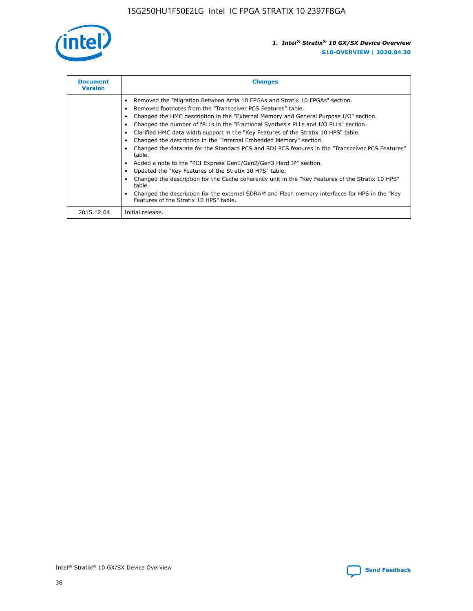

| <b>Document</b><br><b>Version</b> | <b>Changes</b>                                                                                                                                                                                                                                                                                                                                                                                                                                                                                                                                                                                                                                                                                                                                                                                                                                                                                                                                                                                     |  |
|-----------------------------------|----------------------------------------------------------------------------------------------------------------------------------------------------------------------------------------------------------------------------------------------------------------------------------------------------------------------------------------------------------------------------------------------------------------------------------------------------------------------------------------------------------------------------------------------------------------------------------------------------------------------------------------------------------------------------------------------------------------------------------------------------------------------------------------------------------------------------------------------------------------------------------------------------------------------------------------------------------------------------------------------------|--|
|                                   | Removed the "Migration Between Arria 10 FPGAs and Stratix 10 FPGAs" section.<br>Removed footnotes from the "Transceiver PCS Features" table.<br>Changed the HMC description in the "External Memory and General Purpose I/O" section.<br>Changed the number of fPLLs in the "Fractional Synthesis PLLs and I/O PLLs" section.<br>Clarified HMC data width support in the "Key Features of the Stratix 10 HPS" table.<br>Changed the description in the "Internal Embedded Memory" section.<br>Changed the datarate for the Standard PCS and SDI PCS features in the "Transceiver PCS Features"<br>table.<br>Added a note to the "PCI Express Gen1/Gen2/Gen3 Hard IP" section.<br>Updated the "Key Features of the Stratix 10 HPS" table.<br>Changed the description for the Cache coherency unit in the "Key Features of the Stratix 10 HPS"<br>table.<br>Changed the description for the external SDRAM and Flash memory interfaces for HPS in the "Key<br>Features of the Stratix 10 HPS" table. |  |
| 2015.12.04                        | Initial release.                                                                                                                                                                                                                                                                                                                                                                                                                                                                                                                                                                                                                                                                                                                                                                                                                                                                                                                                                                                   |  |